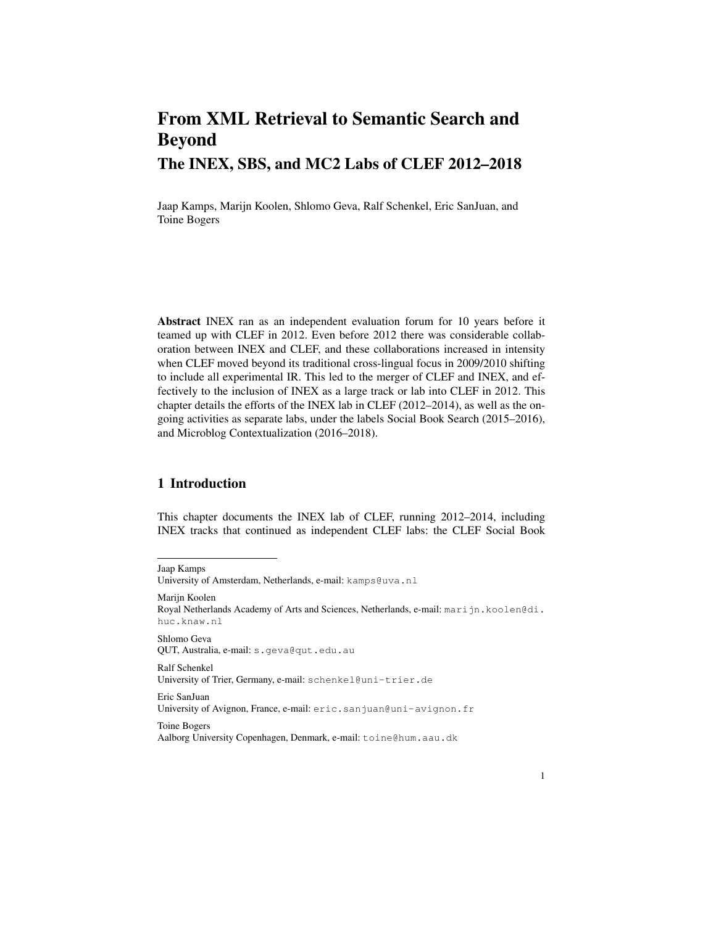# From XML Retrieval to Semantic Search and Beyond

The INEX, SBS, and MC2 Labs of CLEF 2012–2018

Jaap Kamps, Marijn Koolen, Shlomo Geva, Ralf Schenkel, Eric SanJuan, and Toine Bogers

Abstract INEX ran as an independent evaluation forum for 10 years before it teamed up with CLEF in 2012. Even before 2012 there was considerable collaboration between INEX and CLEF, and these collaborations increased in intensity when CLEF moved beyond its traditional cross-lingual focus in 2009/2010 shifting to include all experimental IR. This led to the merger of CLEF and INEX, and effectively to the inclusion of INEX as a large track or lab into CLEF in 2012. This chapter details the efforts of the INEX lab in CLEF (2012–2014), as well as the ongoing activities as separate labs, under the labels Social Book Search (2015–2016), and Microblog Contextualization (2016–2018).

# 1 Introduction

This chapter documents the INEX lab of CLEF, running 2012–2014, including INEX tracks that continued as independent CLEF labs: the CLEF Social Book

```
Jaap Kamps
University of Amsterdam, Netherlands, e-mail: kamps@uva.nl
Marijn Koolen
Royal Netherlands Academy of Arts and Sciences, Netherlands, e-mail: marijn.koolen@di.
huc.knaw.nl
Shlomo Geva
QUT, Australia, e-mail: s.geva@qut.edu.au
Ralf Schenkel
University of Trier, Germany, e-mail: schenkel@uni-trier.de
Eric SanJuan
University of Avignon, France, e-mail: eric.sanjuan@uni-avignon.fr
Toine Bogers
```

```
Aalborg University Copenhagen, Denmark, e-mail: toine@hum.aau.dk
```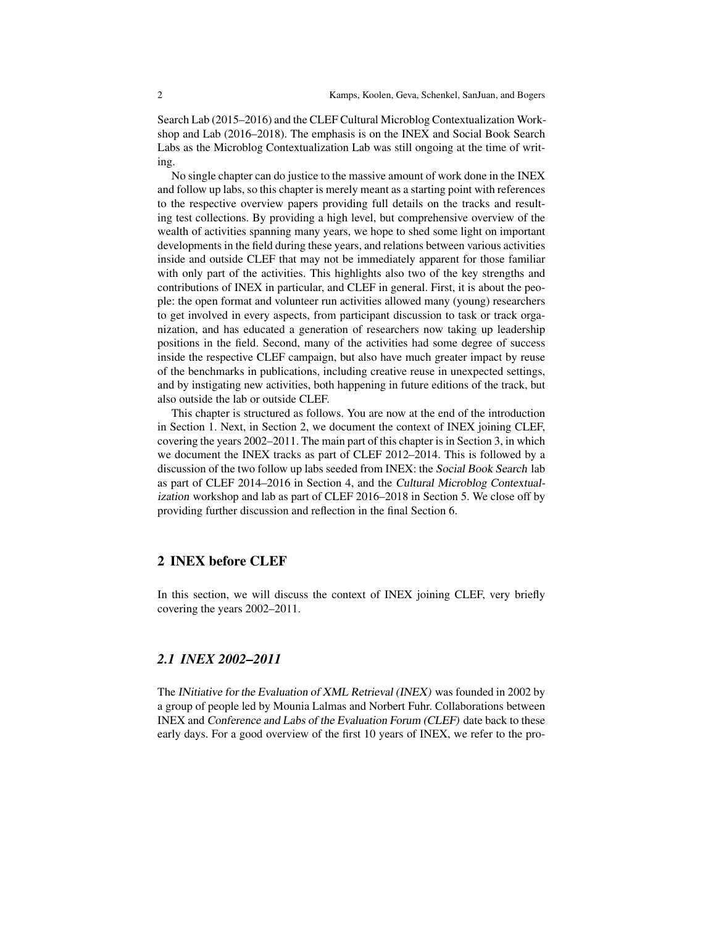Search Lab (2015–2016) and the CLEF Cultural Microblog Contextualization Workshop and Lab (2016–2018). The emphasis is on the INEX and Social Book Search Labs as the Microblog Contextualization Lab was still ongoing at the time of writing.

No single chapter can do justice to the massive amount of work done in the INEX and follow up labs, so this chapter is merely meant as a starting point with references to the respective overview papers providing full details on the tracks and resulting test collections. By providing a high level, but comprehensive overview of the wealth of activities spanning many years, we hope to shed some light on important developments in the field during these years, and relations between various activities inside and outside CLEF that may not be immediately apparent for those familiar with only part of the activities. This highlights also two of the key strengths and contributions of INEX in particular, and CLEF in general. First, it is about the people: the open format and volunteer run activities allowed many (young) researchers to get involved in every aspects, from participant discussion to task or track organization, and has educated a generation of researchers now taking up leadership positions in the field. Second, many of the activities had some degree of success inside the respective CLEF campaign, but also have much greater impact by reuse of the benchmarks in publications, including creative reuse in unexpected settings, and by instigating new activities, both happening in future editions of the track, but also outside the lab or outside CLEF.

This chapter is structured as follows. You are now at the end of the introduction in Section 1. Next, in Section 2, we document the context of INEX joining CLEF, covering the years 2002–2011. The main part of this chapter is in Section 3, in which we document the INEX tracks as part of CLEF 2012–2014. This is followed by a discussion of the two follow up labs seeded from INEX: the Social Book Search lab as part of CLEF 2014–2016 in Section 4, and the Cultural Microblog Contextualization workshop and lab as part of CLEF 2016–2018 in Section 5. We close off by providing further discussion and reflection in the final Section 6.

## 2 INEX before CLEF

In this section, we will discuss the context of INEX joining CLEF, very briefly covering the years 2002–2011.

#### *2.1 INEX 2002–2011*

The INitiative for the Evaluation of XML Retrieval (INEX) was founded in 2002 by a group of people led by Mounia Lalmas and Norbert Fuhr. Collaborations between INEX and Conference and Labs of the Evaluation Forum (CLEF) date back to these early days. For a good overview of the first 10 years of INEX, we refer to the pro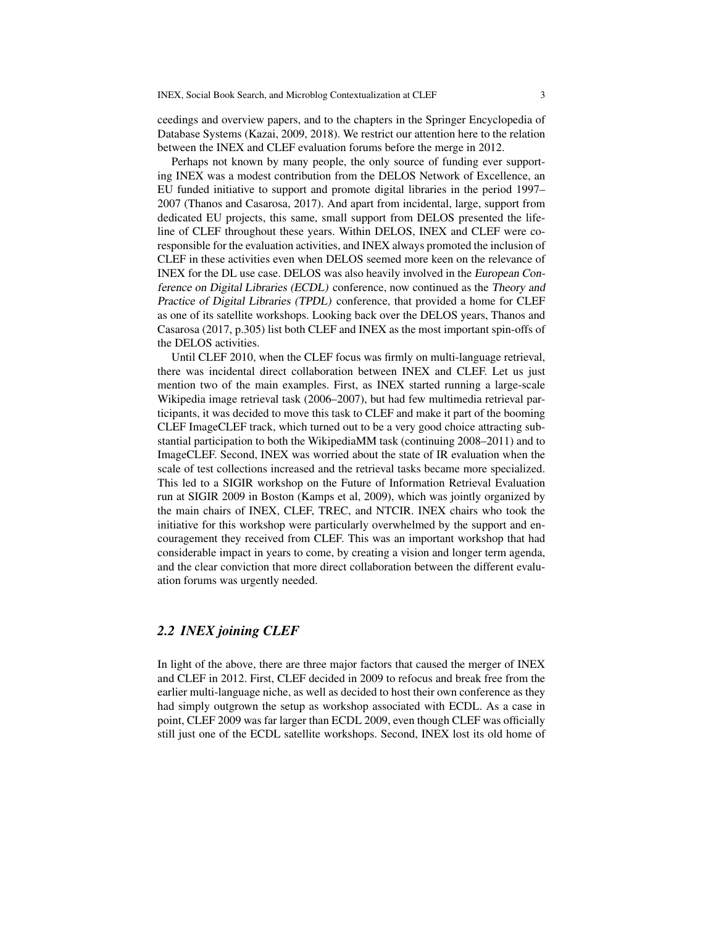ceedings and overview papers, and to the chapters in the Springer Encyclopedia of Database Systems (Kazai, 2009, 2018). We restrict our attention here to the relation between the INEX and CLEF evaluation forums before the merge in 2012.

Perhaps not known by many people, the only source of funding ever supporting INEX was a modest contribution from the DELOS Network of Excellence, an EU funded initiative to support and promote digital libraries in the period 1997– 2007 (Thanos and Casarosa, 2017). And apart from incidental, large, support from dedicated EU projects, this same, small support from DELOS presented the lifeline of CLEF throughout these years. Within DELOS, INEX and CLEF were coresponsible for the evaluation activities, and INEX always promoted the inclusion of CLEF in these activities even when DELOS seemed more keen on the relevance of INEX for the DL use case. DELOS was also heavily involved in the European Conference on Digital Libraries (ECDL) conference, now continued as the Theory and Practice of Digital Libraries (TPDL) conference, that provided a home for CLEF as one of its satellite workshops. Looking back over the DELOS years, Thanos and Casarosa (2017, p.305) list both CLEF and INEX as the most important spin-offs of the DELOS activities.

Until CLEF 2010, when the CLEF focus was firmly on multi-language retrieval, there was incidental direct collaboration between INEX and CLEF. Let us just mention two of the main examples. First, as INEX started running a large-scale Wikipedia image retrieval task (2006–2007), but had few multimedia retrieval participants, it was decided to move this task to CLEF and make it part of the booming CLEF ImageCLEF track, which turned out to be a very good choice attracting substantial participation to both the WikipediaMM task (continuing 2008–2011) and to ImageCLEF. Second, INEX was worried about the state of IR evaluation when the scale of test collections increased and the retrieval tasks became more specialized. This led to a SIGIR workshop on the Future of Information Retrieval Evaluation run at SIGIR 2009 in Boston (Kamps et al, 2009), which was jointly organized by the main chairs of INEX, CLEF, TREC, and NTCIR. INEX chairs who took the initiative for this workshop were particularly overwhelmed by the support and encouragement they received from CLEF. This was an important workshop that had considerable impact in years to come, by creating a vision and longer term agenda, and the clear conviction that more direct collaboration between the different evaluation forums was urgently needed.

## *2.2 INEX joining CLEF*

In light of the above, there are three major factors that caused the merger of INEX and CLEF in 2012. First, CLEF decided in 2009 to refocus and break free from the earlier multi-language niche, as well as decided to host their own conference as they had simply outgrown the setup as workshop associated with ECDL. As a case in point, CLEF 2009 was far larger than ECDL 2009, even though CLEF was officially still just one of the ECDL satellite workshops. Second, INEX lost its old home of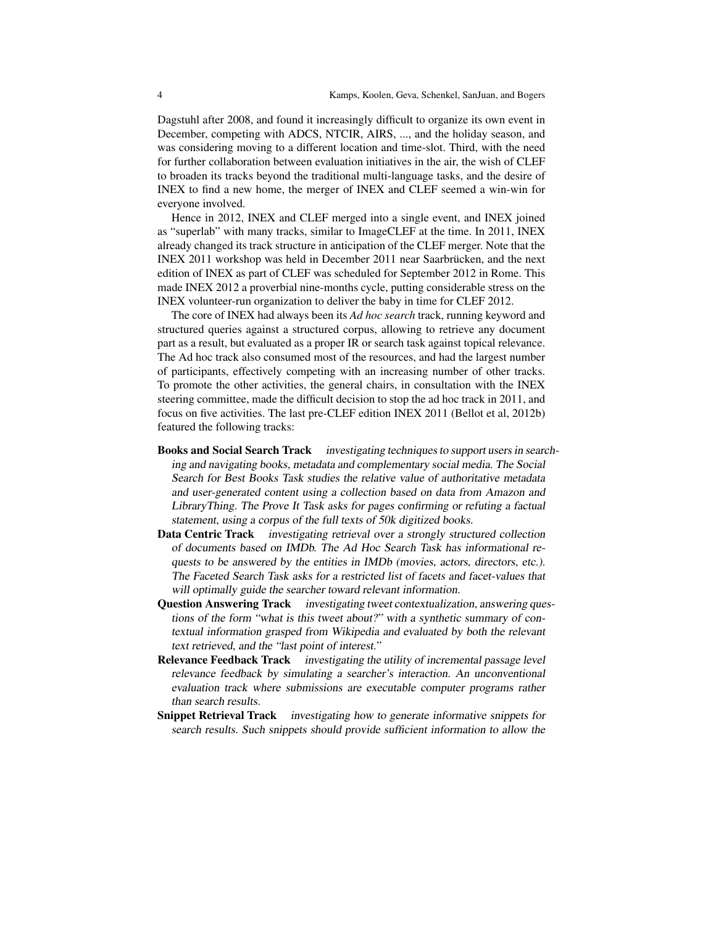Dagstuhl after 2008, and found it increasingly difficult to organize its own event in December, competing with ADCS, NTCIR, AIRS, ..., and the holiday season, and was considering moving to a different location and time-slot. Third, with the need for further collaboration between evaluation initiatives in the air, the wish of CLEF to broaden its tracks beyond the traditional multi-language tasks, and the desire of INEX to find a new home, the merger of INEX and CLEF seemed a win-win for everyone involved.

Hence in 2012, INEX and CLEF merged into a single event, and INEX joined as "superlab" with many tracks, similar to ImageCLEF at the time. In 2011, INEX already changed its track structure in anticipation of the CLEF merger. Note that the INEX 2011 workshop was held in December 2011 near Saarbrücken, and the next edition of INEX as part of CLEF was scheduled for September 2012 in Rome. This made INEX 2012 a proverbial nine-months cycle, putting considerable stress on the INEX volunteer-run organization to deliver the baby in time for CLEF 2012.

The core of INEX had always been its *Ad hoc search* track, running keyword and structured queries against a structured corpus, allowing to retrieve any document part as a result, but evaluated as a proper IR or search task against topical relevance. The Ad hoc track also consumed most of the resources, and had the largest number of participants, effectively competing with an increasing number of other tracks. To promote the other activities, the general chairs, in consultation with the INEX steering committee, made the difficult decision to stop the ad hoc track in 2011, and focus on five activities. The last pre-CLEF edition INEX 2011 (Bellot et al, 2012b) featured the following tracks:

- Books and Social Search Track investigating techniques to support users in searching and navigating books, metadata and complementary social media. The Social Search for Best Books Task studies the relative value of authoritative metadata and user-generated content using a collection based on data from Amazon and LibraryThing. The Prove It Task asks for pages confirming or refuting a factual statement, using a corpus of the full texts of 50k digitized books.
- Data Centric Track investigating retrieval over a strongly structured collection of documents based on IMDb. The Ad Hoc Search Task has informational requests to be answered by the entities in IMDb (movies, actors, directors, etc.). The Faceted Search Task asks for a restricted list of facets and facet-values that will optimally guide the searcher toward relevant information.
- Question Answering Track investigating tweet contextualization, answering questions of the form "what is this tweet about?" with a synthetic summary of contextual information grasped from Wikipedia and evaluated by both the relevant text retrieved, and the "last point of interest."
- Relevance Feedback Track investigating the utility of incremental passage level relevance feedback by simulating a searcher's interaction. An unconventional evaluation track where submissions are executable computer programs rather than search results.
- Snippet Retrieval Track investigating how to generate informative snippets for search results. Such snippets should provide sufficient information to allow the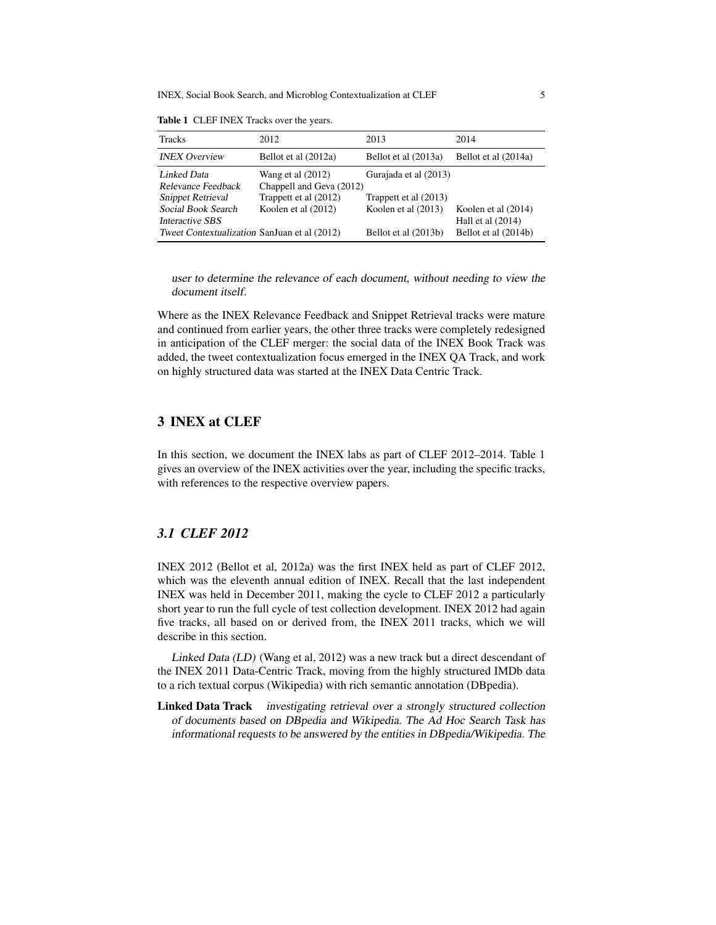| <b>Tracks</b>                                | 2012                                            | 2013                  | 2014                                       |
|----------------------------------------------|-------------------------------------------------|-----------------------|--------------------------------------------|
| <b>INEX Overview</b>                         | Bellot et al (2012a)                            | Bellot et al (2013a)  | Bellot et al (2014a)                       |
| Linked Data<br>Relevance Feedback            | Wang et al $(2012)$<br>Chappell and Geva (2012) | Gurajada et al (2013) |                                            |
| Snippet Retrieval                            | Trappett et al (2012)                           | Trappett et al (2013) |                                            |
| Social Book Search<br>Interactive SBS        | Koolen et al (2012)                             | Koolen et al (2013)   | Koolen et al (2014)<br>Hall et al $(2014)$ |
| Tweet Contextualization SanJuan et al (2012) |                                                 | Bellot et al (2013b)  | Bellot et al (2014b)                       |

Table 1 CLEF INEX Tracks over the years.

user to determine the relevance of each document, without needing to view the document itself.

Where as the INEX Relevance Feedback and Snippet Retrieval tracks were mature and continued from earlier years, the other three tracks were completely redesigned in anticipation of the CLEF merger: the social data of the INEX Book Track was added, the tweet contextualization focus emerged in the INEX QA Track, and work on highly structured data was started at the INEX Data Centric Track.

# 3 INEX at CLEF

In this section, we document the INEX labs as part of CLEF 2012–2014. Table 1 gives an overview of the INEX activities over the year, including the specific tracks, with references to the respective overview papers.

# *3.1 CLEF 2012*

INEX 2012 (Bellot et al, 2012a) was the first INEX held as part of CLEF 2012, which was the eleventh annual edition of INEX. Recall that the last independent INEX was held in December 2011, making the cycle to CLEF 2012 a particularly short year to run the full cycle of test collection development. INEX 2012 had again five tracks, all based on or derived from, the INEX 2011 tracks, which we will describe in this section.

Linked Data (LD) (Wang et al, 2012) was a new track but a direct descendant of the INEX 2011 Data-Centric Track, moving from the highly structured IMDb data to a rich textual corpus (Wikipedia) with rich semantic annotation (DBpedia).

Linked Data Track investigating retrieval over a strongly structured collection of documents based on DBpedia and Wikipedia. The Ad Hoc Search Task has informational requests to be answered by the entities in DBpedia/Wikipedia. The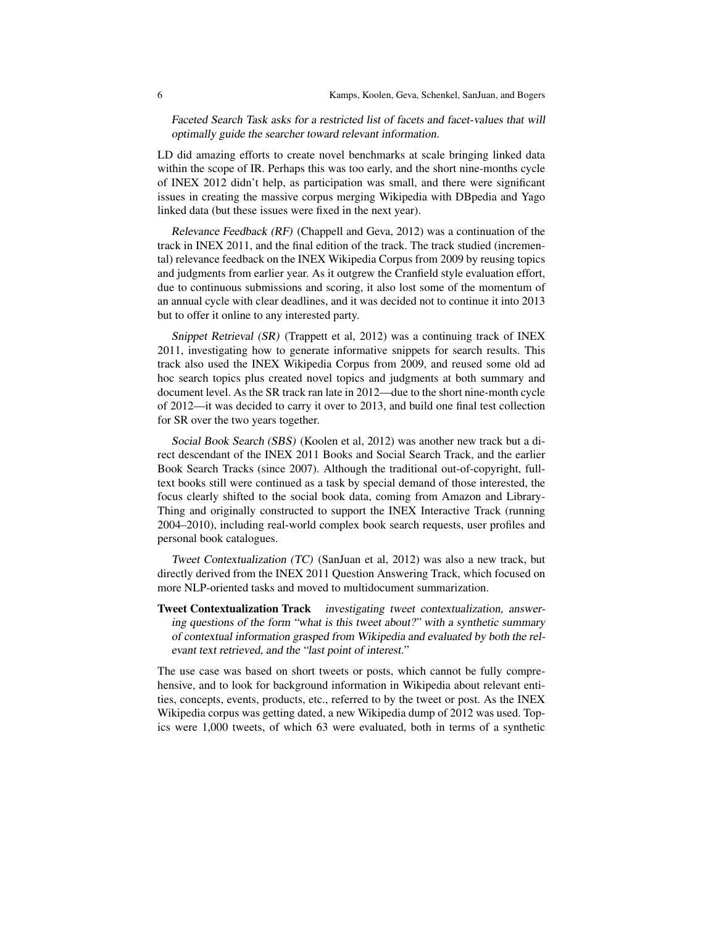Faceted Search Task asks for a restricted list of facets and facet-values that will optimally guide the searcher toward relevant information.

LD did amazing efforts to create novel benchmarks at scale bringing linked data within the scope of IR. Perhaps this was too early, and the short nine-months cycle of INEX 2012 didn't help, as participation was small, and there were significant issues in creating the massive corpus merging Wikipedia with DBpedia and Yago linked data (but these issues were fixed in the next year).

Relevance Feedback (RF) (Chappell and Geva, 2012) was a continuation of the track in INEX 2011, and the final edition of the track. The track studied (incremental) relevance feedback on the INEX Wikipedia Corpus from 2009 by reusing topics and judgments from earlier year. As it outgrew the Cranfield style evaluation effort, due to continuous submissions and scoring, it also lost some of the momentum of an annual cycle with clear deadlines, and it was decided not to continue it into 2013 but to offer it online to any interested party.

Snippet Retrieval (SR) (Trappett et al, 2012) was a continuing track of INEX 2011, investigating how to generate informative snippets for search results. This track also used the INEX Wikipedia Corpus from 2009, and reused some old ad hoc search topics plus created novel topics and judgments at both summary and document level. As the SR track ran late in 2012—due to the short nine-month cycle of 2012—it was decided to carry it over to 2013, and build one final test collection for SR over the two years together.

Social Book Search (SBS) (Koolen et al, 2012) was another new track but a direct descendant of the INEX 2011 Books and Social Search Track, and the earlier Book Search Tracks (since 2007). Although the traditional out-of-copyright, fulltext books still were continued as a task by special demand of those interested, the focus clearly shifted to the social book data, coming from Amazon and Library-Thing and originally constructed to support the INEX Interactive Track (running 2004–2010), including real-world complex book search requests, user profiles and personal book catalogues.

Tweet Contextualization (TC) (SanJuan et al, 2012) was also a new track, but directly derived from the INEX 2011 Question Answering Track, which focused on more NLP-oriented tasks and moved to multidocument summarization.

Tweet Contextualization Track investigating tweet contextualization, answering questions of the form "what is this tweet about?" with a synthetic summary of contextual information grasped from Wikipedia and evaluated by both the relevant text retrieved, and the "last point of interest."

The use case was based on short tweets or posts, which cannot be fully comprehensive, and to look for background information in Wikipedia about relevant entities, concepts, events, products, etc., referred to by the tweet or post. As the INEX Wikipedia corpus was getting dated, a new Wikipedia dump of 2012 was used. Topics were 1,000 tweets, of which 63 were evaluated, both in terms of a synthetic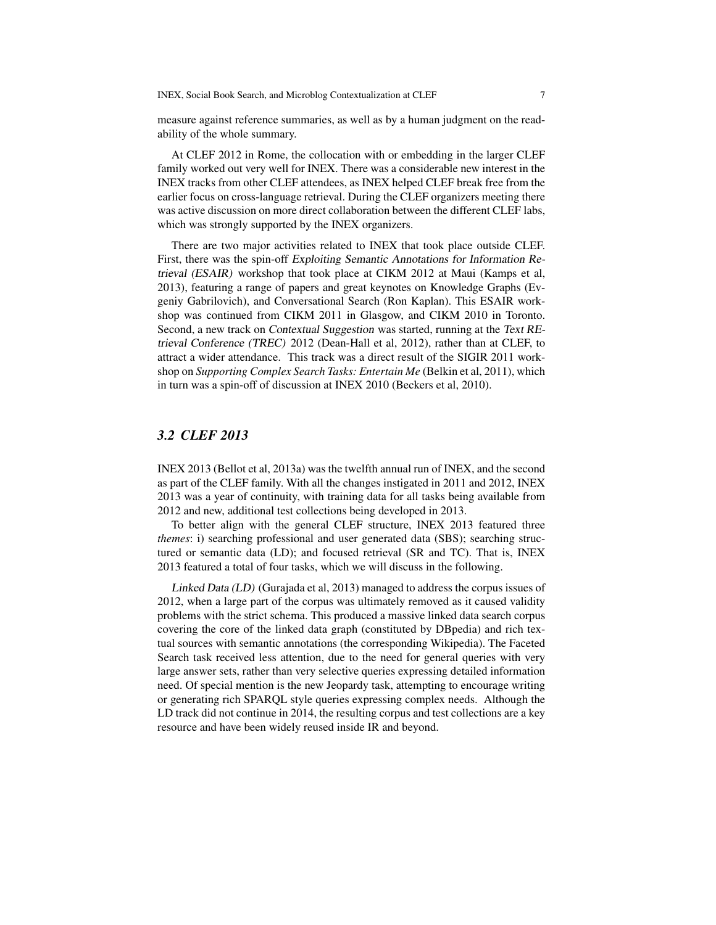measure against reference summaries, as well as by a human judgment on the readability of the whole summary.

At CLEF 2012 in Rome, the collocation with or embedding in the larger CLEF family worked out very well for INEX. There was a considerable new interest in the INEX tracks from other CLEF attendees, as INEX helped CLEF break free from the earlier focus on cross-language retrieval. During the CLEF organizers meeting there was active discussion on more direct collaboration between the different CLEF labs, which was strongly supported by the INEX organizers.

There are two major activities related to INEX that took place outside CLEF. First, there was the spin-off Exploiting Semantic Annotations for Information Retrieval (ESAIR) workshop that took place at CIKM 2012 at Maui (Kamps et al, 2013), featuring a range of papers and great keynotes on Knowledge Graphs (Evgeniy Gabrilovich), and Conversational Search (Ron Kaplan). This ESAIR workshop was continued from CIKM 2011 in Glasgow, and CIKM 2010 in Toronto. Second, a new track on Contextual Suggestion was started, running at the Text REtrieval Conference (TREC) 2012 (Dean-Hall et al, 2012), rather than at CLEF, to attract a wider attendance. This track was a direct result of the SIGIR 2011 workshop on *Supporting Complex Search Tasks: Entertain Me* (Belkin et al, 2011), which in turn was a spin-off of discussion at INEX 2010 (Beckers et al, 2010).

## *3.2 CLEF 2013*

INEX 2013 (Bellot et al, 2013a) was the twelfth annual run of INEX, and the second as part of the CLEF family. With all the changes instigated in 2011 and 2012, INEX 2013 was a year of continuity, with training data for all tasks being available from 2012 and new, additional test collections being developed in 2013.

To better align with the general CLEF structure, INEX 2013 featured three *themes*: i) searching professional and user generated data (SBS); searching structured or semantic data (LD); and focused retrieval (SR and TC). That is, INEX 2013 featured a total of four tasks, which we will discuss in the following.

Linked Data (LD) (Gurajada et al, 2013) managed to address the corpus issues of 2012, when a large part of the corpus was ultimately removed as it caused validity problems with the strict schema. This produced a massive linked data search corpus covering the core of the linked data graph (constituted by DBpedia) and rich textual sources with semantic annotations (the corresponding Wikipedia). The Faceted Search task received less attention, due to the need for general queries with very large answer sets, rather than very selective queries expressing detailed information need. Of special mention is the new Jeopardy task, attempting to encourage writing or generating rich SPARQL style queries expressing complex needs. Although the LD track did not continue in 2014, the resulting corpus and test collections are a key resource and have been widely reused inside IR and beyond.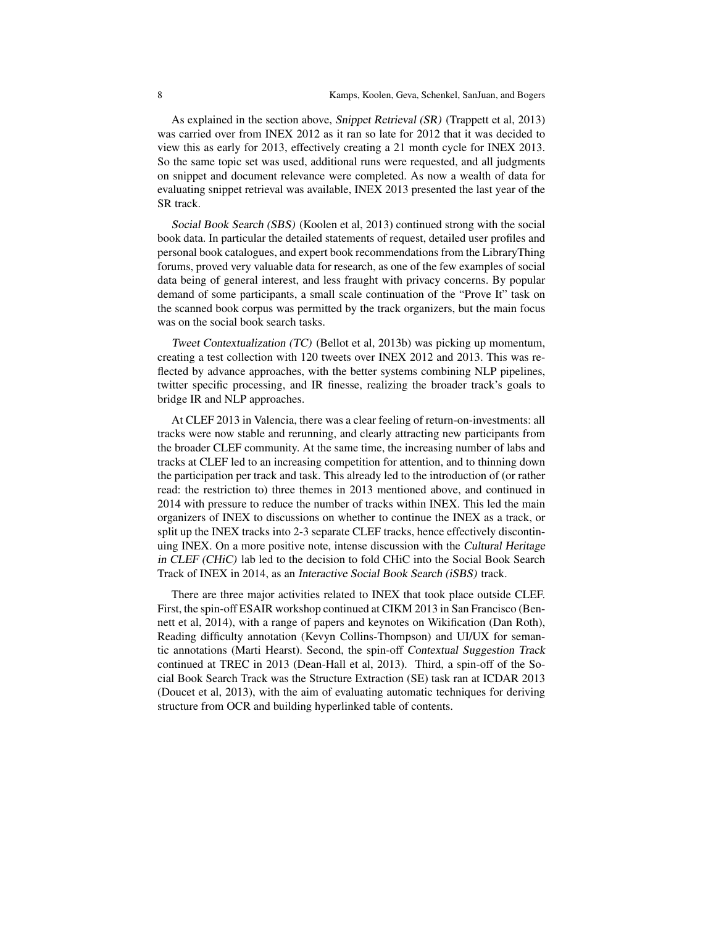As explained in the section above, Snippet Retrieval (SR) (Trappett et al, 2013) was carried over from INEX 2012 as it ran so late for 2012 that it was decided to view this as early for 2013, effectively creating a 21 month cycle for INEX 2013. So the same topic set was used, additional runs were requested, and all judgments on snippet and document relevance were completed. As now a wealth of data for evaluating snippet retrieval was available, INEX 2013 presented the last year of the SR track.

Social Book Search (SBS) (Koolen et al, 2013) continued strong with the social book data. In particular the detailed statements of request, detailed user profiles and personal book catalogues, and expert book recommendations from the LibraryThing forums, proved very valuable data for research, as one of the few examples of social data being of general interest, and less fraught with privacy concerns. By popular demand of some participants, a small scale continuation of the "Prove It" task on the scanned book corpus was permitted by the track organizers, but the main focus was on the social book search tasks.

Tweet Contextualization (TC) (Bellot et al, 2013b) was picking up momentum, creating a test collection with 120 tweets over INEX 2012 and 2013. This was reflected by advance approaches, with the better systems combining NLP pipelines, twitter specific processing, and IR finesse, realizing the broader track's goals to bridge IR and NLP approaches.

At CLEF 2013 in Valencia, there was a clear feeling of return-on-investments: all tracks were now stable and rerunning, and clearly attracting new participants from the broader CLEF community. At the same time, the increasing number of labs and tracks at CLEF led to an increasing competition for attention, and to thinning down the participation per track and task. This already led to the introduction of (or rather read: the restriction to) three themes in 2013 mentioned above, and continued in 2014 with pressure to reduce the number of tracks within INEX. This led the main organizers of INEX to discussions on whether to continue the INEX as a track, or split up the INEX tracks into 2-3 separate CLEF tracks, hence effectively discontinuing INEX. On a more positive note, intense discussion with the Cultural Heritage in CLEF (CHiC) lab led to the decision to fold CHiC into the Social Book Search Track of INEX in 2014, as an Interactive Social Book Search (iSBS) track.

There are three major activities related to INEX that took place outside CLEF. First, the spin-off ESAIR workshop continued at CIKM 2013 in San Francisco (Bennett et al, 2014), with a range of papers and keynotes on Wikification (Dan Roth), Reading difficulty annotation (Kevyn Collins-Thompson) and UI/UX for semantic annotations (Marti Hearst). Second, the spin-off Contextual Suggestion Track continued at TREC in 2013 (Dean-Hall et al, 2013). Third, a spin-off of the Social Book Search Track was the Structure Extraction (SE) task ran at ICDAR 2013 (Doucet et al, 2013), with the aim of evaluating automatic techniques for deriving structure from OCR and building hyperlinked table of contents.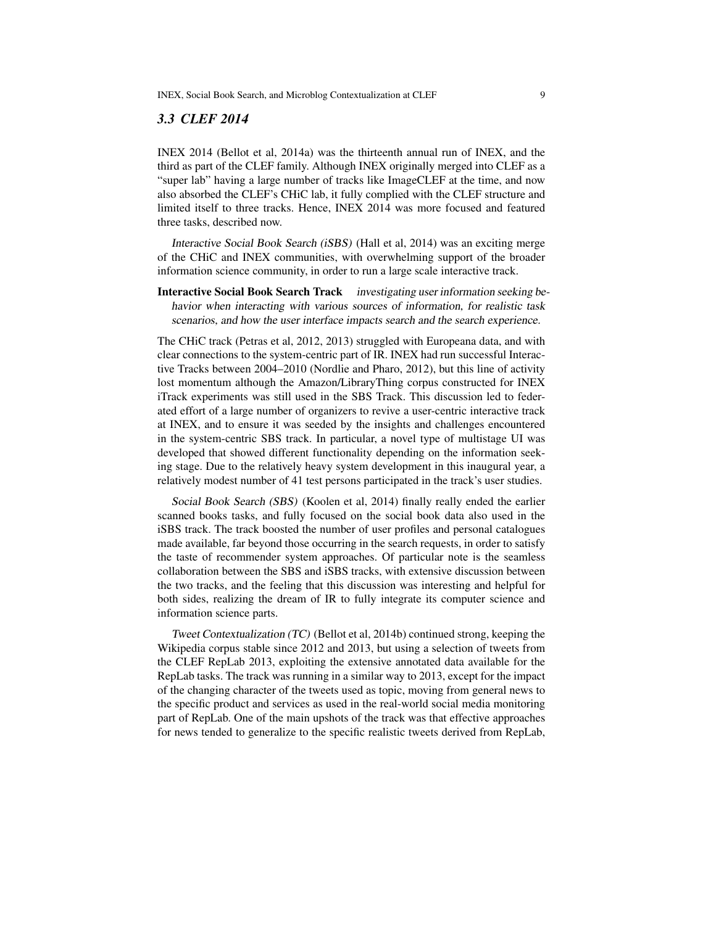### *3.3 CLEF 2014*

INEX 2014 (Bellot et al, 2014a) was the thirteenth annual run of INEX, and the third as part of the CLEF family. Although INEX originally merged into CLEF as a "super lab" having a large number of tracks like ImageCLEF at the time, and now also absorbed the CLEF's CHiC lab, it fully complied with the CLEF structure and limited itself to three tracks. Hence, INEX 2014 was more focused and featured three tasks, described now.

Interactive Social Book Search (iSBS) (Hall et al, 2014) was an exciting merge of the CHiC and INEX communities, with overwhelming support of the broader information science community, in order to run a large scale interactive track.

Interactive Social Book Search Track investigating user information seeking behavior when interacting with various sources of information, for realistic task scenarios, and how the user interface impacts search and the search experience.

The CHiC track (Petras et al, 2012, 2013) struggled with Europeana data, and with clear connections to the system-centric part of IR. INEX had run successful Interactive Tracks between 2004–2010 (Nordlie and Pharo, 2012), but this line of activity lost momentum although the Amazon/LibraryThing corpus constructed for INEX iTrack experiments was still used in the SBS Track. This discussion led to federated effort of a large number of organizers to revive a user-centric interactive track at INEX, and to ensure it was seeded by the insights and challenges encountered in the system-centric SBS track. In particular, a novel type of multistage UI was developed that showed different functionality depending on the information seeking stage. Due to the relatively heavy system development in this inaugural year, a relatively modest number of 41 test persons participated in the track's user studies.

Social Book Search (SBS) (Koolen et al, 2014) finally really ended the earlier scanned books tasks, and fully focused on the social book data also used in the iSBS track. The track boosted the number of user profiles and personal catalogues made available, far beyond those occurring in the search requests, in order to satisfy the taste of recommender system approaches. Of particular note is the seamless collaboration between the SBS and iSBS tracks, with extensive discussion between the two tracks, and the feeling that this discussion was interesting and helpful for both sides, realizing the dream of IR to fully integrate its computer science and information science parts.

Tweet Contextualization (TC) (Bellot et al, 2014b) continued strong, keeping the Wikipedia corpus stable since 2012 and 2013, but using a selection of tweets from the CLEF RepLab 2013, exploiting the extensive annotated data available for the RepLab tasks. The track was running in a similar way to 2013, except for the impact of the changing character of the tweets used as topic, moving from general news to the specific product and services as used in the real-world social media monitoring part of RepLab. One of the main upshots of the track was that effective approaches for news tended to generalize to the specific realistic tweets derived from RepLab,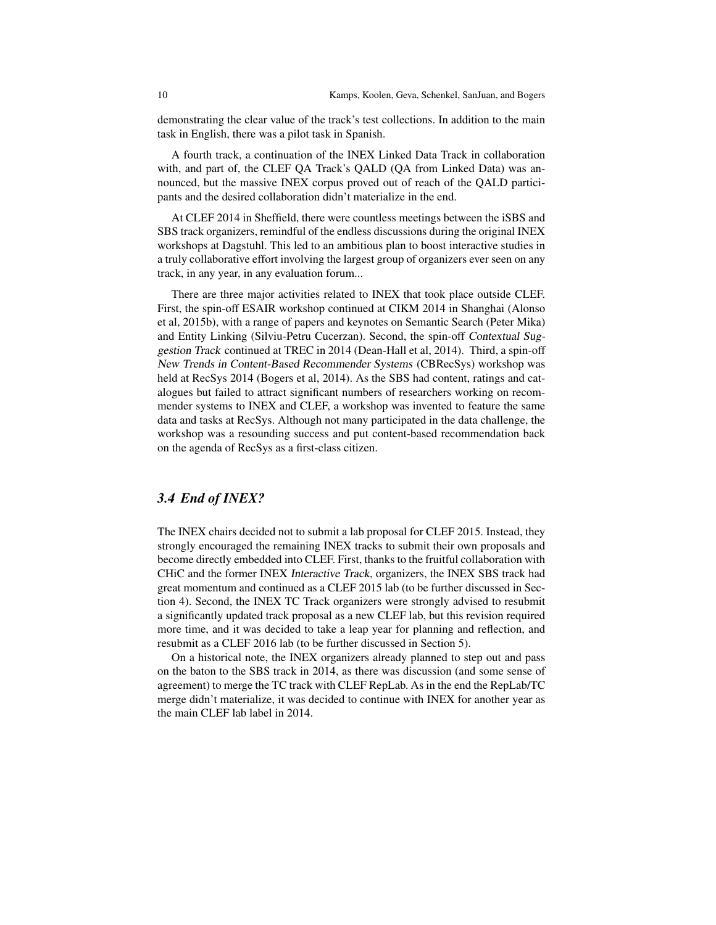demonstrating the clear value of the track's test collections. In addition to the main task in English, there was a pilot task in Spanish.

A fourth track, a continuation of the INEX Linked Data Track in collaboration with, and part of, the CLEF QA Track's QALD (QA from Linked Data) was announced, but the massive INEX corpus proved out of reach of the QALD participants and the desired collaboration didn't materialize in the end.

At CLEF 2014 in Sheffield, there were countless meetings between the iSBS and SBS track organizers, remindful of the endless discussions during the original INEX workshops at Dagstuhl. This led to an ambitious plan to boost interactive studies in a truly collaborative effort involving the largest group of organizers ever seen on any track, in any year, in any evaluation forum...

There are three major activities related to INEX that took place outside CLEF. First, the spin-off ESAIR workshop continued at CIKM 2014 in Shanghai (Alonso et al, 2015b), with a range of papers and keynotes on Semantic Search (Peter Mika) and Entity Linking (Silviu-Petru Cucerzan). Second, the spin-off Contextual Suggestion Track continued at TREC in 2014 (Dean-Hall et al, 2014). Third, a spin-off New Trends in Content-Based Recommender Systems (CBRecSys) workshop was held at RecSys 2014 (Bogers et al, 2014). As the SBS had content, ratings and catalogues but failed to attract significant numbers of researchers working on recommender systems to INEX and CLEF, a workshop was invented to feature the same data and tasks at RecSys. Although not many participated in the data challenge, the workshop was a resounding success and put content-based recommendation back on the agenda of RecSys as a first-class citizen.

## *3.4 End of INEX?*

The INEX chairs decided not to submit a lab proposal for CLEF 2015. Instead, they strongly encouraged the remaining INEX tracks to submit their own proposals and become directly embedded into CLEF. First, thanks to the fruitful collaboration with CHiC and the former INEX Interactive Track, organizers, the INEX SBS track had great momentum and continued as a CLEF 2015 lab (to be further discussed in Section 4). Second, the INEX TC Track organizers were strongly advised to resubmit a significantly updated track proposal as a new CLEF lab, but this revision required more time, and it was decided to take a leap year for planning and reflection, and resubmit as a CLEF 2016 lab (to be further discussed in Section 5).

On a historical note, the INEX organizers already planned to step out and pass on the baton to the SBS track in 2014, as there was discussion (and some sense of agreement) to merge the TC track with CLEF RepLab. As in the end the RepLab/TC merge didn't materialize, it was decided to continue with INEX for another year as the main CLEF lab label in 2014.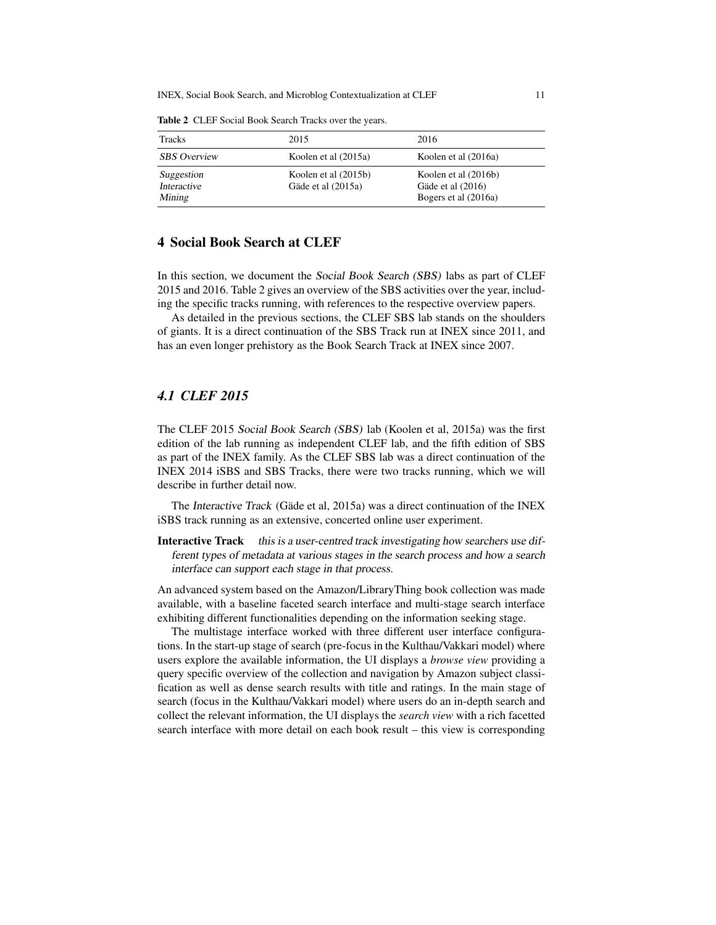| <b>Tracks</b>                       | 2015                                       | 2016                                                              |
|-------------------------------------|--------------------------------------------|-------------------------------------------------------------------|
| <b>SBS</b> Overview                 | Koolen et al (2015a)                       | Koolen et al (2016a)                                              |
| Suggestion<br>Interactive<br>Mining | Koolen et al (2015b)<br>Gäde et al (2015a) | Koolen et al (2016b)<br>Gäde et al (2016)<br>Bogers et al (2016a) |

Table 2 CLEF Social Book Search Tracks over the years.

#### 4 Social Book Search at CLEF

In this section, we document the Social Book Search (SBS) labs as part of CLEF 2015 and 2016. Table 2 gives an overview of the SBS activities over the year, including the specific tracks running, with references to the respective overview papers.

As detailed in the previous sections, the CLEF SBS lab stands on the shoulders of giants. It is a direct continuation of the SBS Track run at INEX since 2011, and has an even longer prehistory as the Book Search Track at INEX since 2007.

## *4.1 CLEF 2015*

The CLEF 2015 Social Book Search (SBS) lab (Koolen et al, 2015a) was the first edition of the lab running as independent CLEF lab, and the fifth edition of SBS as part of the INEX family. As the CLEF SBS lab was a direct continuation of the INEX 2014 iSBS and SBS Tracks, there were two tracks running, which we will describe in further detail now.

The Interactive Track (Gäde et al, 2015a) was a direct continuation of the INEX iSBS track running as an extensive, concerted online user experiment.

Interactive Track this is a user-centred track investigating how searchers use different types of metadata at various stages in the search process and how a search interface can support each stage in that process.

An advanced system based on the Amazon/LibraryThing book collection was made available, with a baseline faceted search interface and multi-stage search interface exhibiting different functionalities depending on the information seeking stage.

The multistage interface worked with three different user interface configurations. In the start-up stage of search (pre-focus in the Kulthau/Vakkari model) where users explore the available information, the UI displays a *browse view* providing a query specific overview of the collection and navigation by Amazon subject classification as well as dense search results with title and ratings. In the main stage of search (focus in the Kulthau/Vakkari model) where users do an in-depth search and collect the relevant information, the UI displays the *search view* with a rich facetted search interface with more detail on each book result – this view is corresponding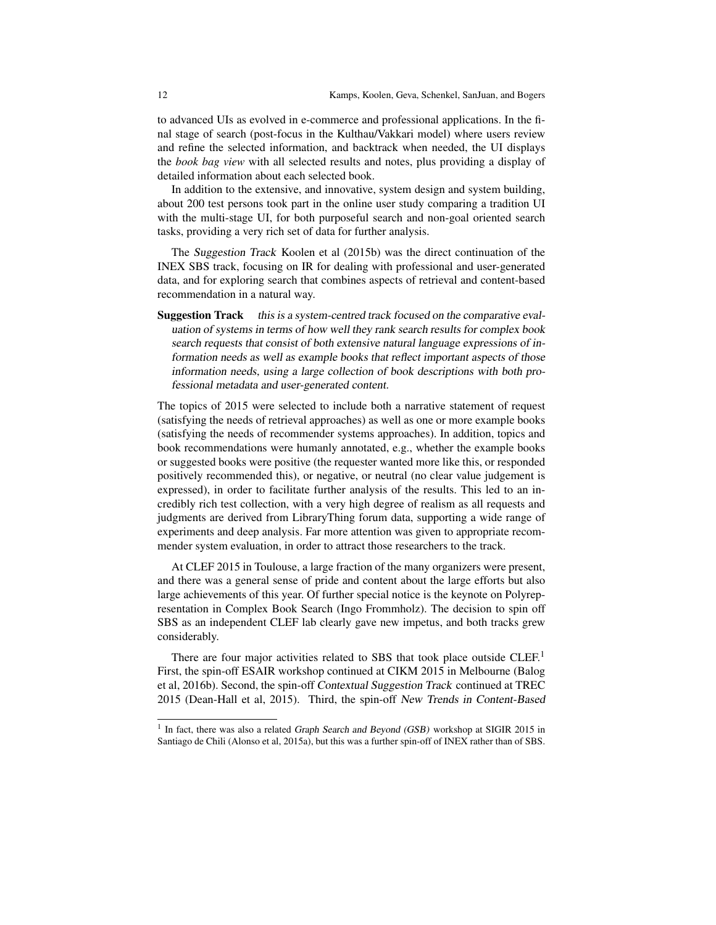to advanced UIs as evolved in e-commerce and professional applications. In the final stage of search (post-focus in the Kulthau/Vakkari model) where users review and refine the selected information, and backtrack when needed, the UI displays the *book bag view* with all selected results and notes, plus providing a display of detailed information about each selected book.

In addition to the extensive, and innovative, system design and system building, about 200 test persons took part in the online user study comparing a tradition UI with the multi-stage UI, for both purposeful search and non-goal oriented search tasks, providing a very rich set of data for further analysis.

The Suggestion Track Koolen et al (2015b) was the direct continuation of the INEX SBS track, focusing on IR for dealing with professional and user-generated data, and for exploring search that combines aspects of retrieval and content-based recommendation in a natural way.

Suggestion Track this is a system-centred track focused on the comparative evaluation of systems in terms of how well they rank search results for complex book search requests that consist of both extensive natural language expressions of information needs as well as example books that reflect important aspects of those information needs, using a large collection of book descriptions with both professional metadata and user-generated content.

The topics of 2015 were selected to include both a narrative statement of request (satisfying the needs of retrieval approaches) as well as one or more example books (satisfying the needs of recommender systems approaches). In addition, topics and book recommendations were humanly annotated, e.g., whether the example books or suggested books were positive (the requester wanted more like this, or responded positively recommended this), or negative, or neutral (no clear value judgement is expressed), in order to facilitate further analysis of the results. This led to an incredibly rich test collection, with a very high degree of realism as all requests and judgments are derived from LibraryThing forum data, supporting a wide range of experiments and deep analysis. Far more attention was given to appropriate recommender system evaluation, in order to attract those researchers to the track.

At CLEF 2015 in Toulouse, a large fraction of the many organizers were present, and there was a general sense of pride and content about the large efforts but also large achievements of this year. Of further special notice is the keynote on Polyrepresentation in Complex Book Search (Ingo Frommholz). The decision to spin off SBS as an independent CLEF lab clearly gave new impetus, and both tracks grew considerably.

There are four major activities related to SBS that took place outside CLEF.<sup>1</sup> First, the spin-off ESAIR workshop continued at CIKM 2015 in Melbourne (Balog et al, 2016b). Second, the spin-off Contextual Suggestion Track continued at TREC 2015 (Dean-Hall et al, 2015). Third, the spin-off New Trends in Content-Based

<sup>&</sup>lt;sup>1</sup> In fact, there was also a related Graph Search and Beyond (GSB) workshop at SIGIR 2015 in Santiago de Chili (Alonso et al, 2015a), but this was a further spin-off of INEX rather than of SBS.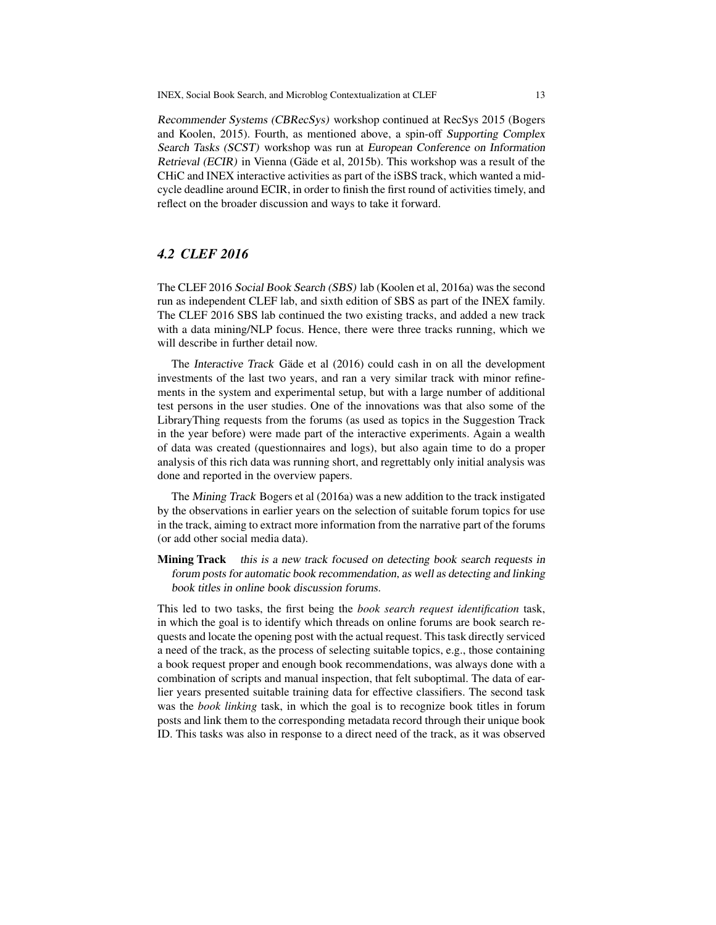Recommender Systems (CBRecSys) workshop continued at RecSys 2015 (Bogers and Koolen, 2015). Fourth, as mentioned above, a spin-off Supporting Complex Search Tasks (SCST) workshop was run at European Conference on Information Retrieval (ECIR) in Vienna (Gäde et al,  $2015b$ ). This workshop was a result of the CHiC and INEX interactive activities as part of the iSBS track, which wanted a midcycle deadline around ECIR, in order to finish the first round of activities timely, and reflect on the broader discussion and ways to take it forward.

# *4.2 CLEF 2016*

The CLEF 2016 Social Book Search (SBS) lab (Koolen et al, 2016a) was the second run as independent CLEF lab, and sixth edition of SBS as part of the INEX family. The CLEF 2016 SBS lab continued the two existing tracks, and added a new track with a data mining/NLP focus. Hence, there were three tracks running, which we will describe in further detail now.

The Interactive Track Gäde et al (2016) could cash in on all the development investments of the last two years, and ran a very similar track with minor refinements in the system and experimental setup, but with a large number of additional test persons in the user studies. One of the innovations was that also some of the LibraryThing requests from the forums (as used as topics in the Suggestion Track in the year before) were made part of the interactive experiments. Again a wealth of data was created (questionnaires and logs), but also again time to do a proper analysis of this rich data was running short, and regrettably only initial analysis was done and reported in the overview papers.

The Mining Track Bogers et al (2016a) was a new addition to the track instigated by the observations in earlier years on the selection of suitable forum topics for use in the track, aiming to extract more information from the narrative part of the forums (or add other social media data).

Mining Track this is a new track focused on detecting book search requests in forum posts for automatic book recommendation, as well as detecting and linking book titles in online book discussion forums.

This led to two tasks, the first being the *book search request identification* task, in which the goal is to identify which threads on online forums are book search requests and locate the opening post with the actual request. This task directly serviced a need of the track, as the process of selecting suitable topics, e.g., those containing a book request proper and enough book recommendations, was always done with a combination of scripts and manual inspection, that felt suboptimal. The data of earlier years presented suitable training data for effective classifiers. The second task was the *book linking* task, in which the goal is to recognize book titles in forum posts and link them to the corresponding metadata record through their unique book ID. This tasks was also in response to a direct need of the track, as it was observed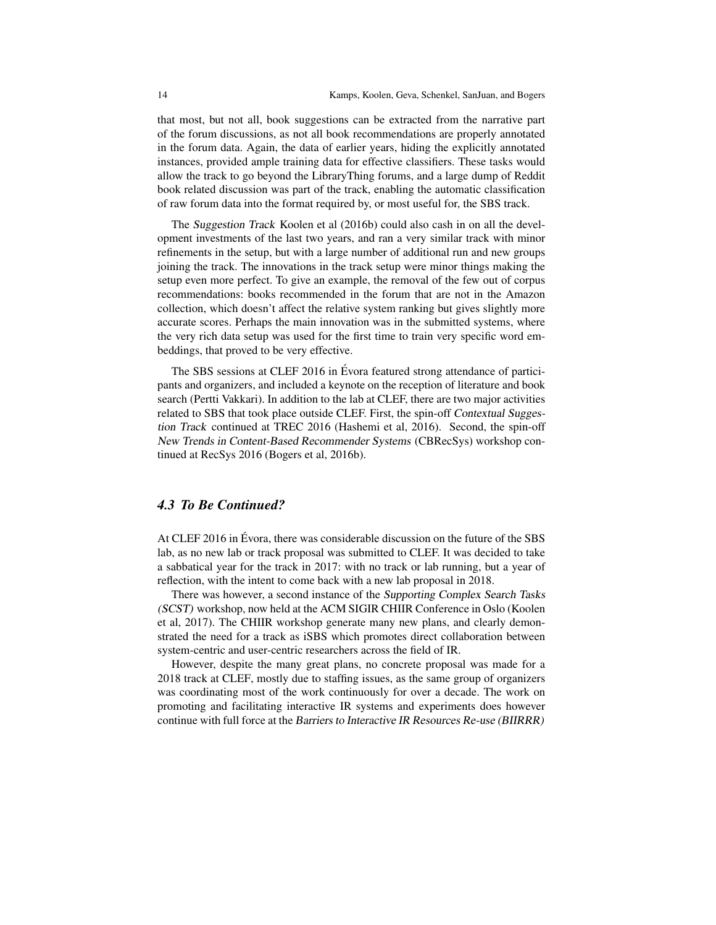that most, but not all, book suggestions can be extracted from the narrative part of the forum discussions, as not all book recommendations are properly annotated in the forum data. Again, the data of earlier years, hiding the explicitly annotated instances, provided ample training data for effective classifiers. These tasks would allow the track to go beyond the LibraryThing forums, and a large dump of Reddit book related discussion was part of the track, enabling the automatic classification of raw forum data into the format required by, or most useful for, the SBS track.

The Suggestion Track Koolen et al (2016b) could also cash in on all the development investments of the last two years, and ran a very similar track with minor refinements in the setup, but with a large number of additional run and new groups joining the track. The innovations in the track setup were minor things making the setup even more perfect. To give an example, the removal of the few out of corpus recommendations: books recommended in the forum that are not in the Amazon collection, which doesn't affect the relative system ranking but gives slightly more accurate scores. Perhaps the main innovation was in the submitted systems, where the very rich data setup was used for the first time to train very specific word embeddings, that proved to be very effective.

The SBS sessions at CLEF 2016 in Évora featured strong attendance of participants and organizers, and included a keynote on the reception of literature and book search (Pertti Vakkari). In addition to the lab at CLEF, there are two major activities related to SBS that took place outside CLEF. First, the spin-off Contextual Suggestion Track continued at TREC 2016 (Hashemi et al, 2016). Second, the spin-off New Trends in Content-Based Recommender Systems (CBRecSys) workshop continued at RecSys 2016 (Bogers et al, 2016b).

### *4.3 To Be Continued?*

At CLEF 2016 in Évora, there was considerable discussion on the future of the SBS lab, as no new lab or track proposal was submitted to CLEF. It was decided to take a sabbatical year for the track in 2017: with no track or lab running, but a year of reflection, with the intent to come back with a new lab proposal in 2018.

There was however, a second instance of the Supporting Complex Search Tasks (SCST) workshop, now held at the ACM SIGIR CHIIR Conference in Oslo (Koolen et al, 2017). The CHIIR workshop generate many new plans, and clearly demonstrated the need for a track as iSBS which promotes direct collaboration between system-centric and user-centric researchers across the field of IR.

However, despite the many great plans, no concrete proposal was made for a 2018 track at CLEF, mostly due to staffing issues, as the same group of organizers was coordinating most of the work continuously for over a decade. The work on promoting and facilitating interactive IR systems and experiments does however continue with full force at the Barriers to Interactive IR Resources Re-use (BIIRRR)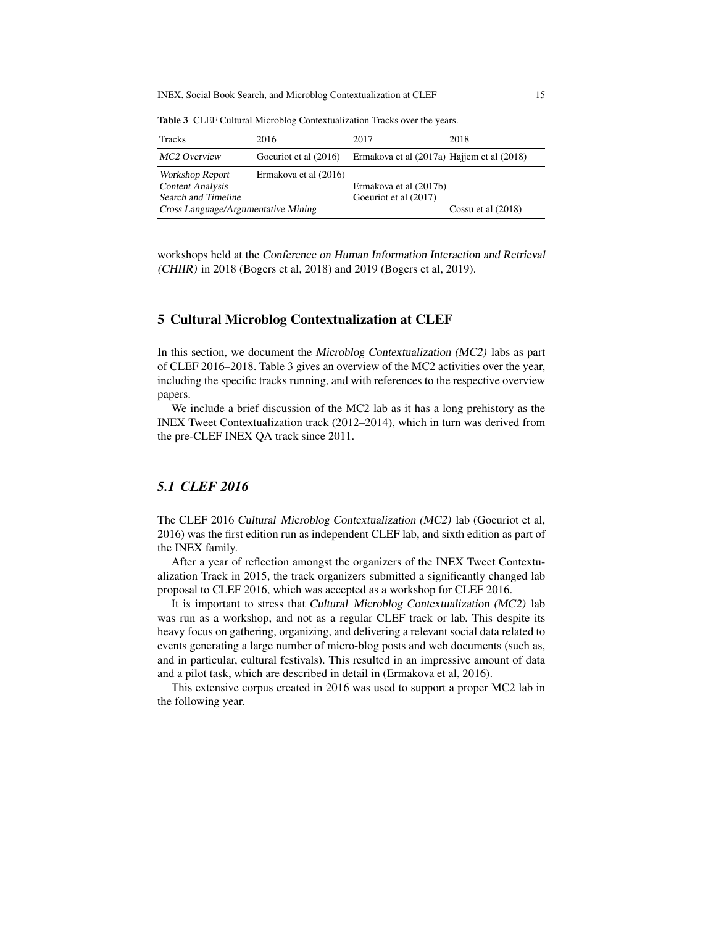INEX, Social Book Search, and Microblog Contextualization at CLEF 15

| Tracks                              | 2016                  | 2017                                       | 2018                 |
|-------------------------------------|-----------------------|--------------------------------------------|----------------------|
| MC <sub>2</sub> Overview            | Goeuriot et al (2016) | Ermakova et al (2017a) Hajjem et al (2018) |                      |
| Workshop Report                     | Ermakova et al (2016) |                                            |                      |
| <b>Content Analysis</b>             |                       | Ermakova et al (2017b)                     |                      |
| Search and Timeline                 |                       | Goeuriot et al (2017)                      |                      |
| Cross Language/Argumentative Mining |                       |                                            | Cossu et al $(2018)$ |

Table 3 CLEF Cultural Microblog Contextualization Tracks over the years.

workshops held at the Conference on Human Information Interaction and Retrieval (CHIIR) in 2018 (Bogers et al, 2018) and 2019 (Bogers et al, 2019).

## 5 Cultural Microblog Contextualization at CLEF

In this section, we document the Microblog Contextualization (MC2) labs as part of CLEF 2016–2018. Table 3 gives an overview of the MC2 activities over the year, including the specific tracks running, and with references to the respective overview papers.

We include a brief discussion of the MC2 lab as it has a long prehistory as the INEX Tweet Contextualization track (2012–2014), which in turn was derived from the pre-CLEF INEX QA track since 2011.

## *5.1 CLEF 2016*

The CLEF 2016 Cultural Microblog Contextualization (MC2) lab (Goeuriot et al, 2016) was the first edition run as independent CLEF lab, and sixth edition as part of the INEX family.

After a year of reflection amongst the organizers of the INEX Tweet Contextualization Track in 2015, the track organizers submitted a significantly changed lab proposal to CLEF 2016, which was accepted as a workshop for CLEF 2016.

It is important to stress that Cultural Microblog Contextualization (MC2) lab was run as a workshop, and not as a regular CLEF track or lab. This despite its heavy focus on gathering, organizing, and delivering a relevant social data related to events generating a large number of micro-blog posts and web documents (such as, and in particular, cultural festivals). This resulted in an impressive amount of data and a pilot task, which are described in detail in (Ermakova et al, 2016).

This extensive corpus created in 2016 was used to support a proper MC2 lab in the following year.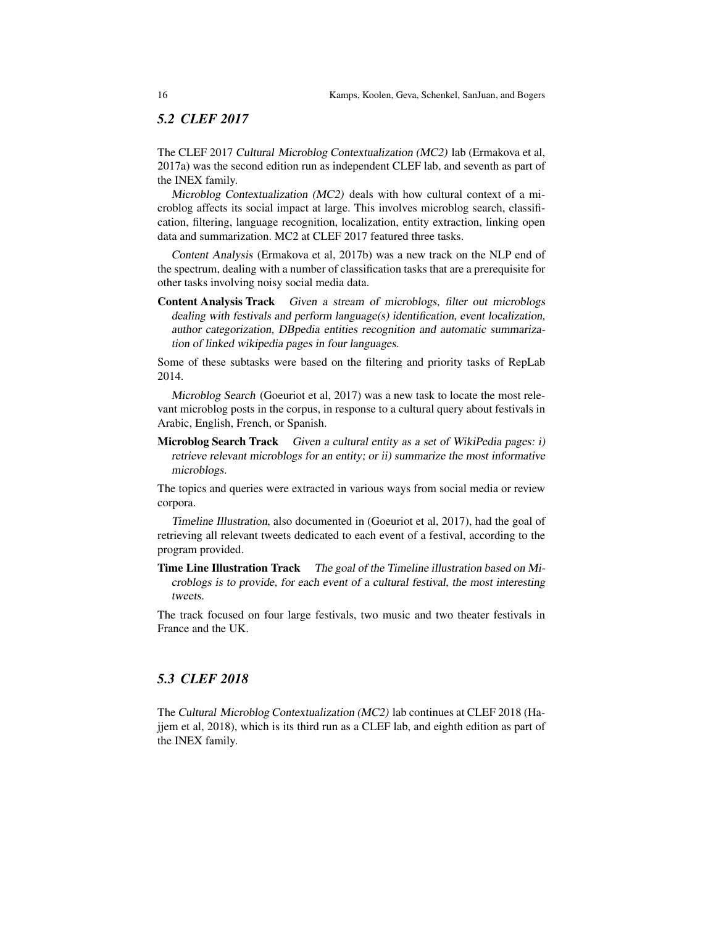#### *5.2 CLEF 2017*

The CLEF 2017 Cultural Microblog Contextualization (MC2) lab (Ermakova et al, 2017a) was the second edition run as independent CLEF lab, and seventh as part of the INEX family.

Microblog Contextualization (MC2) deals with how cultural context of a microblog affects its social impact at large. This involves microblog search, classification, filtering, language recognition, localization, entity extraction, linking open data and summarization. MC2 at CLEF 2017 featured three tasks.

Content Analysis (Ermakova et al, 2017b) was a new track on the NLP end of the spectrum, dealing with a number of classification tasks that are a prerequisite for other tasks involving noisy social media data.

Content Analysis Track Given a stream of microblogs, filter out microblogs dealing with festivals and perform language(s) identification, event localization, author categorization, DBpedia entities recognition and automatic summarization of linked wikipedia pages in four languages.

Some of these subtasks were based on the filtering and priority tasks of RepLab 2014.

Microblog Search (Goeuriot et al, 2017) was a new task to locate the most relevant microblog posts in the corpus, in response to a cultural query about festivals in Arabic, English, French, or Spanish.

Microblog Search Track Given a cultural entity as a set of WikiPedia pages: i) retrieve relevant microblogs for an entity; or ii) summarize the most informative microblogs.

The topics and queries were extracted in various ways from social media or review corpora.

Timeline Illustration, also documented in (Goeuriot et al, 2017), had the goal of retrieving all relevant tweets dedicated to each event of a festival, according to the program provided.

Time Line Illustration Track The goal of the Timeline illustration based on Microblogs is to provide, for each event of a cultural festival, the most interesting tweets.

The track focused on four large festivals, two music and two theater festivals in France and the UK.

### *5.3 CLEF 2018*

The Cultural Microblog Contextualization (MC2) lab continues at CLEF 2018 (Hajjem et al, 2018), which is its third run as a CLEF lab, and eighth edition as part of the INEX family.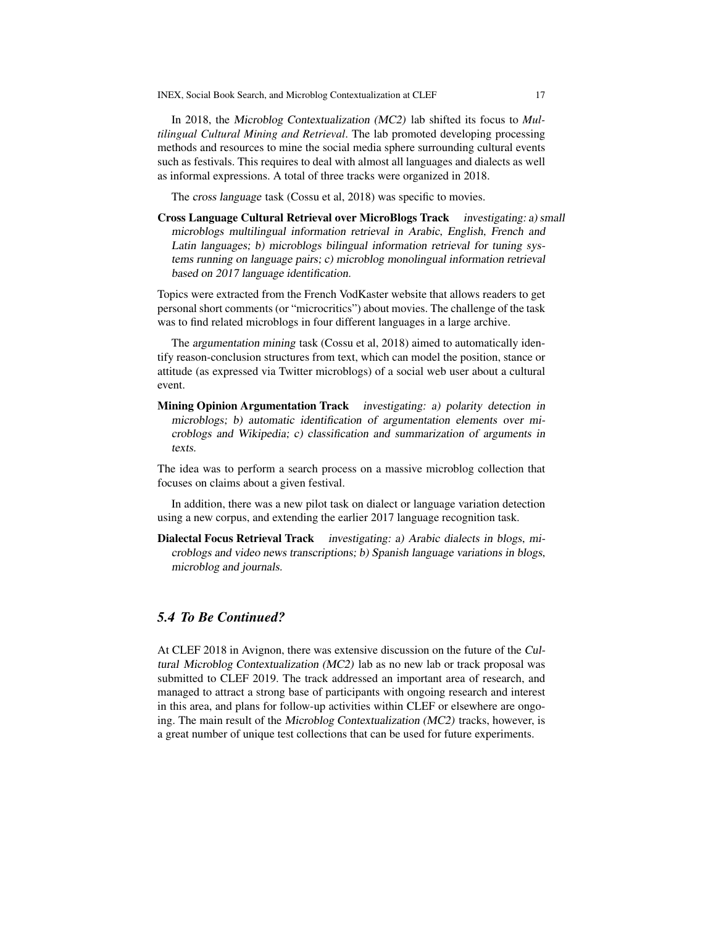In 2018, the Microblog Contextualization (MC2) lab shifted its focus to *Multilingual Cultural Mining and Retrieval*. The lab promoted developing processing methods and resources to mine the social media sphere surrounding cultural events such as festivals. This requires to deal with almost all languages and dialects as well as informal expressions. A total of three tracks were organized in 2018.

The cross language task (Cossu et al, 2018) was specific to movies.

Cross Language Cultural Retrieval over MicroBlogs Track investigating: a) small microblogs multilingual information retrieval in Arabic, English, French and Latin languages; b) microblogs bilingual information retrieval for tuning systems running on language pairs; c) microblog monolingual information retrieval based on 2017 language identification.

Topics were extracted from the French VodKaster website that allows readers to get personal short comments (or "microcritics") about movies. The challenge of the task was to find related microblogs in four different languages in a large archive.

The argumentation mining task (Cossu et al, 2018) aimed to automatically identify reason-conclusion structures from text, which can model the position, stance or attitude (as expressed via Twitter microblogs) of a social web user about a cultural event.

Mining Opinion Argumentation Track investigating: a) polarity detection in microblogs; b) automatic identification of argumentation elements over microblogs and Wikipedia; c) classification and summarization of arguments in texts.

The idea was to perform a search process on a massive microblog collection that focuses on claims about a given festival.

In addition, there was a new pilot task on dialect or language variation detection using a new corpus, and extending the earlier 2017 language recognition task.

Dialectal Focus Retrieval Track investigating: a) Arabic dialects in blogs, microblogs and video news transcriptions; b) Spanish language variations in blogs, microblog and journals.

## *5.4 To Be Continued?*

At CLEF 2018 in Avignon, there was extensive discussion on the future of the Cultural Microblog Contextualization (MC2) lab as no new lab or track proposal was submitted to CLEF 2019. The track addressed an important area of research, and managed to attract a strong base of participants with ongoing research and interest in this area, and plans for follow-up activities within CLEF or elsewhere are ongoing. The main result of the Microblog Contextualization (MC2) tracks, however, is a great number of unique test collections that can be used for future experiments.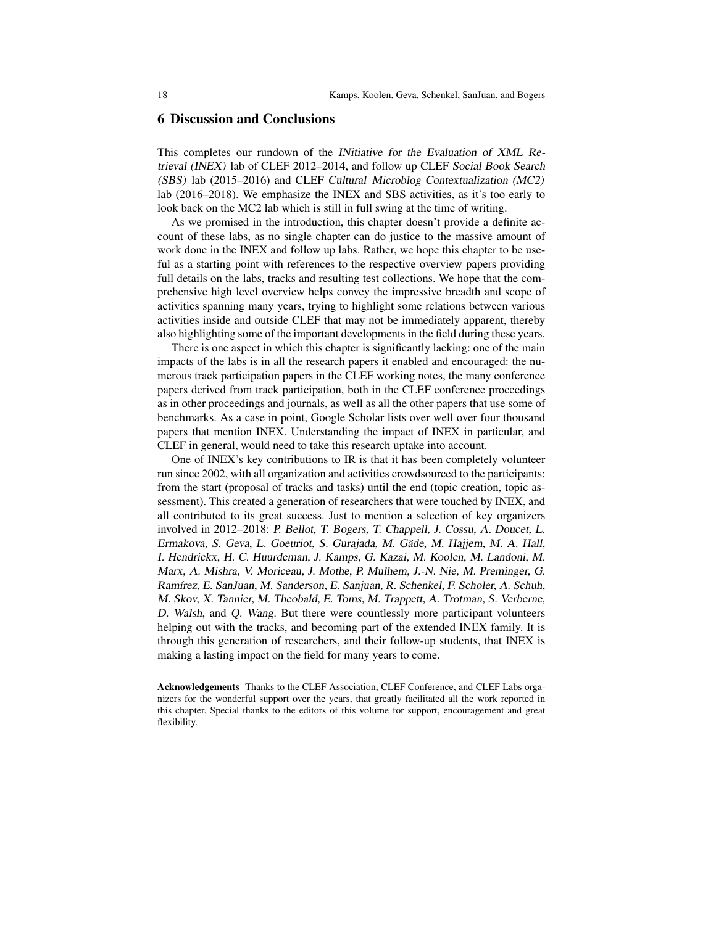### 6 Discussion and Conclusions

This completes our rundown of the INitiative for the Evaluation of XML Retrieval (INEX) lab of CLEF 2012–2014, and follow up CLEF Social Book Search (SBS) lab (2015–2016) and CLEF Cultural Microblog Contextualization (MC2) lab (2016–2018). We emphasize the INEX and SBS activities, as it's too early to look back on the MC2 lab which is still in full swing at the time of writing.

As we promised in the introduction, this chapter doesn't provide a definite account of these labs, as no single chapter can do justice to the massive amount of work done in the INEX and follow up labs. Rather, we hope this chapter to be useful as a starting point with references to the respective overview papers providing full details on the labs, tracks and resulting test collections. We hope that the comprehensive high level overview helps convey the impressive breadth and scope of activities spanning many years, trying to highlight some relations between various activities inside and outside CLEF that may not be immediately apparent, thereby also highlighting some of the important developments in the field during these years.

There is one aspect in which this chapter is significantly lacking: one of the main impacts of the labs is in all the research papers it enabled and encouraged: the numerous track participation papers in the CLEF working notes, the many conference papers derived from track participation, both in the CLEF conference proceedings as in other proceedings and journals, as well as all the other papers that use some of benchmarks. As a case in point, Google Scholar lists over well over four thousand papers that mention INEX. Understanding the impact of INEX in particular, and CLEF in general, would need to take this research uptake into account.

One of INEX's key contributions to IR is that it has been completely volunteer run since 2002, with all organization and activities crowdsourced to the participants: from the start (proposal of tracks and tasks) until the end (topic creation, topic assessment). This created a generation of researchers that were touched by INEX, and all contributed to its great success. Just to mention a selection of key organizers involved in 2012–2018: P. Bellot, T. Bogers, T. Chappell, J. Cossu, A. Doucet, L. Ermakova, S. Geva, L. Goeuriot, S. Gurajada, M. Gäde, M. Hajjem, M. A. Hall, I. Hendrickx, H. C. Huurdeman, J. Kamps, G. Kazai, M. Koolen, M. Landoni, M. Marx, A. Mishra, V. Moriceau, J. Mothe, P. Mulhem, J.-N. Nie, M. Preminger, G. Ramírez, E. SanJuan, M. Sanderson, E. Sanjuan, R. Schenkel, F. Scholer, A. Schuh, M. Skov, X. Tannier, M. Theobald, E. Toms, M. Trappett, A. Trotman, S. Verberne, D. Walsh, and Q. Wang. But there were countlessly more participant volunteers helping out with the tracks, and becoming part of the extended INEX family. It is through this generation of researchers, and their follow-up students, that INEX is making a lasting impact on the field for many years to come.

Acknowledgements Thanks to the CLEF Association, CLEF Conference, and CLEF Labs organizers for the wonderful support over the years, that greatly facilitated all the work reported in this chapter. Special thanks to the editors of this volume for support, encouragement and great flexibility.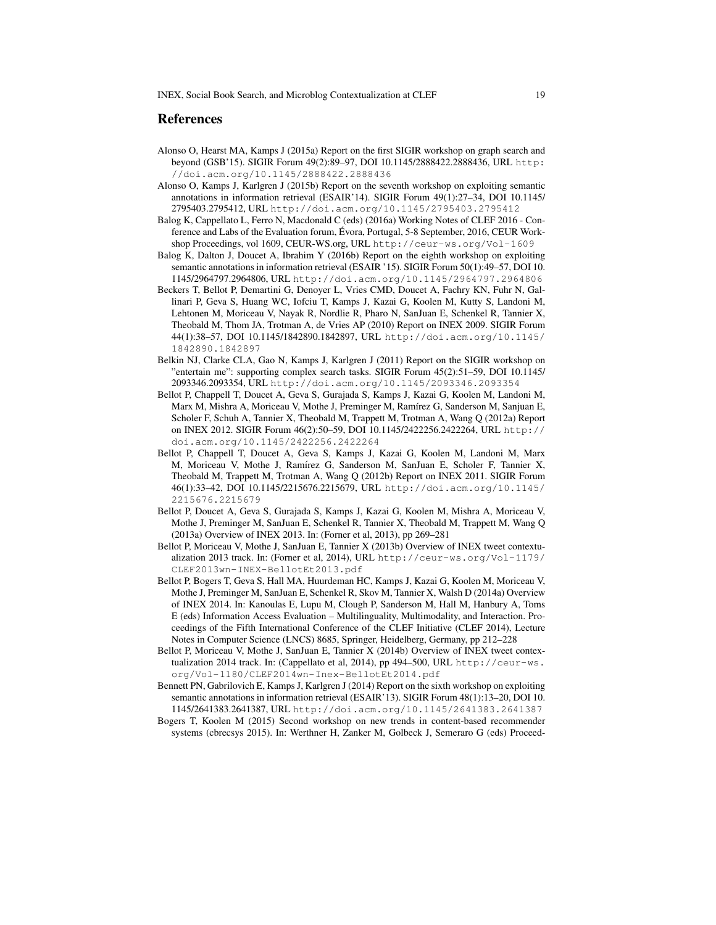#### References

- Alonso O, Hearst MA, Kamps J (2015a) Report on the first SIGIR workshop on graph search and beyond (GSB'15). SIGIR Forum 49(2):89–97, DOI 10.1145/2888422.2888436, URL http: //doi.acm.org/10.1145/2888422.2888436
- Alonso O, Kamps J, Karlgren J (2015b) Report on the seventh workshop on exploiting semantic annotations in information retrieval (ESAIR'14). SIGIR Forum 49(1):27–34, DOI 10.1145/ 2795403.2795412, URL http://doi.acm.org/10.1145/2795403.2795412
- Balog K, Cappellato L, Ferro N, Macdonald C (eds) (2016a) Working Notes of CLEF 2016 Conference and Labs of the Evaluation forum, Évora, Portugal, 5-8 September, 2016, CEUR Workshop Proceedings, vol 1609, CEUR-WS.org, URL http://ceur-ws.org/Vol-1609
- Balog K, Dalton J, Doucet A, Ibrahim Y (2016b) Report on the eighth workshop on exploiting semantic annotations in information retrieval (ESAIR '15). SIGIR Forum 50(1):49–57, DOI 10. 1145/2964797.2964806, URL http://doi.acm.org/10.1145/2964797.2964806
- Beckers T, Bellot P, Demartini G, Denoyer L, Vries CMD, Doucet A, Fachry KN, Fuhr N, Gallinari P, Geva S, Huang WC, Iofciu T, Kamps J, Kazai G, Koolen M, Kutty S, Landoni M, Lehtonen M, Moriceau V, Nayak R, Nordlie R, Pharo N, SanJuan E, Schenkel R, Tannier X, Theobald M, Thom JA, Trotman A, de Vries AP (2010) Report on INEX 2009. SIGIR Forum 44(1):38–57, DOI 10.1145/1842890.1842897, URL http://doi.acm.org/10.1145/ 1842890.1842897
- Belkin NJ, Clarke CLA, Gao N, Kamps J, Karlgren J (2011) Report on the SIGIR workshop on "entertain me": supporting complex search tasks. SIGIR Forum 45(2):51–59, DOI 10.1145/ 2093346.2093354, URL http://doi.acm.org/10.1145/2093346.2093354
- Bellot P, Chappell T, Doucet A, Geva S, Gurajada S, Kamps J, Kazai G, Koolen M, Landoni M, Marx M, Mishra A, Moriceau V, Mothe J, Preminger M, Ramírez G, Sanderson M, Sanjuan E, Scholer F, Schuh A, Tannier X, Theobald M, Trappett M, Trotman A, Wang Q (2012a) Report on INEX 2012. SIGIR Forum 46(2):50–59, DOI 10.1145/2422256.2422264, URL http:// doi.acm.org/10.1145/2422256.2422264
- Bellot P, Chappell T, Doucet A, Geva S, Kamps J, Kazai G, Koolen M, Landoni M, Marx M, Moriceau V, Mothe J, Ramírez G, Sanderson M, SanJuan E, Scholer F, Tannier X, Theobald M, Trappett M, Trotman A, Wang Q (2012b) Report on INEX 2011. SIGIR Forum 46(1):33–42, DOI 10.1145/2215676.2215679, URL http://doi.acm.org/10.1145/ 2215676.2215679
- Bellot P, Doucet A, Geva S, Gurajada S, Kamps J, Kazai G, Koolen M, Mishra A, Moriceau V, Mothe J, Preminger M, SanJuan E, Schenkel R, Tannier X, Theobald M, Trappett M, Wang Q (2013a) Overview of INEX 2013. In: (Forner et al, 2013), pp 269–281
- Bellot P, Moriceau V, Mothe J, SanJuan E, Tannier X (2013b) Overview of INEX tweet contextualization 2013 track. In: (Forner et al, 2014), URL http://ceur-ws.org/Vol-1179/ CLEF2013wn-INEX-BellotEt2013.pdf
- Bellot P, Bogers T, Geva S, Hall MA, Huurdeman HC, Kamps J, Kazai G, Koolen M, Moriceau V, Mothe J, Preminger M, SanJuan E, Schenkel R, Skov M, Tannier X, Walsh D (2014a) Overview of INEX 2014. In: Kanoulas E, Lupu M, Clough P, Sanderson M, Hall M, Hanbury A, Toms E (eds) Information Access Evaluation – Multilinguality, Multimodality, and Interaction. Proceedings of the Fifth International Conference of the CLEF Initiative (CLEF 2014), Lecture Notes in Computer Science (LNCS) 8685, Springer, Heidelberg, Germany, pp 212–228
- Bellot P, Moriceau V, Mothe J, SanJuan E, Tannier X (2014b) Overview of INEX tweet contextualization 2014 track. In: (Cappellato et al, 2014), pp 494–500, URL http://ceur-ws. org/Vol-1180/CLEF2014wn-Inex-BellotEt2014.pdf
- Bennett PN, Gabrilovich E, Kamps J, Karlgren J (2014) Report on the sixth workshop on exploiting semantic annotations in information retrieval (ESAIR'13). SIGIR Forum 48(1):13–20, DOI 10. 1145/2641383.2641387, URL http://doi.acm.org/10.1145/2641383.2641387
- Bogers T, Koolen M (2015) Second workshop on new trends in content-based recommender systems (cbrecsys 2015). In: Werthner H, Zanker M, Golbeck J, Semeraro G (eds) Proceed-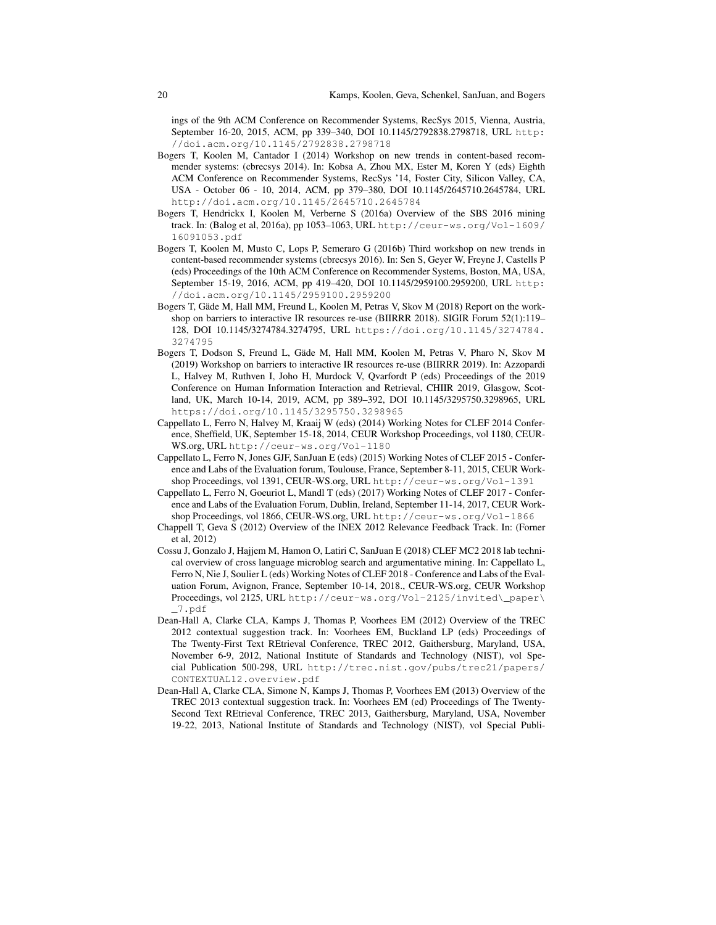ings of the 9th ACM Conference on Recommender Systems, RecSys 2015, Vienna, Austria, September 16-20, 2015, ACM, pp 339–340, DOI 10.1145/2792838.2798718, URL http: //doi.acm.org/10.1145/2792838.2798718

- Bogers T, Koolen M, Cantador I (2014) Workshop on new trends in content-based recommender systems: (cbrecsys 2014). In: Kobsa A, Zhou MX, Ester M, Koren Y (eds) Eighth ACM Conference on Recommender Systems, RecSys '14, Foster City, Silicon Valley, CA, USA - October 06 - 10, 2014, ACM, pp 379–380, DOI 10.1145/2645710.2645784, URL http://doi.acm.org/10.1145/2645710.2645784
- Bogers T, Hendrickx I, Koolen M, Verberne S (2016a) Overview of the SBS 2016 mining track. In: (Balog et al, 2016a), pp 1053–1063, URL http://ceur-ws.org/Vol-1609/ 16091053.pdf
- Bogers T, Koolen M, Musto C, Lops P, Semeraro G (2016b) Third workshop on new trends in content-based recommender systems (cbrecsys 2016). In: Sen S, Geyer W, Freyne J, Castells P (eds) Proceedings of the 10th ACM Conference on Recommender Systems, Boston, MA, USA, September 15-19, 2016, ACM, pp 419–420, DOI 10.1145/2959100.2959200, URL http: //doi.acm.org/10.1145/2959100.2959200
- Bogers T, Gäde M, Hall MM, Freund L, Koolen M, Petras V, Skov M (2018) Report on the workshop on barriers to interactive IR resources re-use (BIIRRR 2018). SIGIR Forum 52(1):119– 128, DOI 10.1145/3274784.3274795, URL https://doi.org/10.1145/3274784. 3274795
- Bogers T, Dodson S, Freund L, Gade M, Hall MM, Koolen M, Petras V, Pharo N, Skov M ¨ (2019) Workshop on barriers to interactive IR resources re-use (BIIRRR 2019). In: Azzopardi L, Halvey M, Ruthven I, Joho H, Murdock V, Qvarfordt P (eds) Proceedings of the 2019 Conference on Human Information Interaction and Retrieval, CHIIR 2019, Glasgow, Scotland, UK, March 10-14, 2019, ACM, pp 389–392, DOI 10.1145/3295750.3298965, URL https://doi.org/10.1145/3295750.3298965
- Cappellato L, Ferro N, Halvey M, Kraaij W (eds) (2014) Working Notes for CLEF 2014 Conference, Sheffield, UK, September 15-18, 2014, CEUR Workshop Proceedings, vol 1180, CEUR-WS.org, URL http://ceur-ws.org/Vol-1180
- Cappellato L, Ferro N, Jones GJF, SanJuan E (eds) (2015) Working Notes of CLEF 2015 Conference and Labs of the Evaluation forum, Toulouse, France, September 8-11, 2015, CEUR Workshop Proceedings, vol 1391, CEUR-WS.org, URL http://ceur-ws.org/Vol-1391
- Cappellato L, Ferro N, Goeuriot L, Mandl T (eds) (2017) Working Notes of CLEF 2017 Conference and Labs of the Evaluation Forum, Dublin, Ireland, September 11-14, 2017, CEUR Workshop Proceedings, vol 1866, CEUR-WS.org, URL http://ceur-ws.org/Vol-1866
- Chappell T, Geva S (2012) Overview of the INEX 2012 Relevance Feedback Track. In: (Forner et al, 2012)
- Cossu J, Gonzalo J, Hajjem M, Hamon O, Latiri C, SanJuan E (2018) CLEF MC2 2018 lab technical overview of cross language microblog search and argumentative mining. In: Cappellato L, Ferro N, Nie J, Soulier L (eds) Working Notes of CLEF 2018 - Conference and Labs of the Evaluation Forum, Avignon, France, September 10-14, 2018., CEUR-WS.org, CEUR Workshop Proceedings, vol 2125, URL http://ceur-ws.org/Vol-2125/invited\\_paper\ \_7.pdf
- Dean-Hall A, Clarke CLA, Kamps J, Thomas P, Voorhees EM (2012) Overview of the TREC 2012 contextual suggestion track. In: Voorhees EM, Buckland LP (eds) Proceedings of The Twenty-First Text REtrieval Conference, TREC 2012, Gaithersburg, Maryland, USA, November 6-9, 2012, National Institute of Standards and Technology (NIST), vol Special Publication 500-298, URL http://trec.nist.gov/pubs/trec21/papers/ CONTEXTUAL12.overview.pdf
- Dean-Hall A, Clarke CLA, Simone N, Kamps J, Thomas P, Voorhees EM (2013) Overview of the TREC 2013 contextual suggestion track. In: Voorhees EM (ed) Proceedings of The Twenty-Second Text REtrieval Conference, TREC 2013, Gaithersburg, Maryland, USA, November 19-22, 2013, National Institute of Standards and Technology (NIST), vol Special Publi-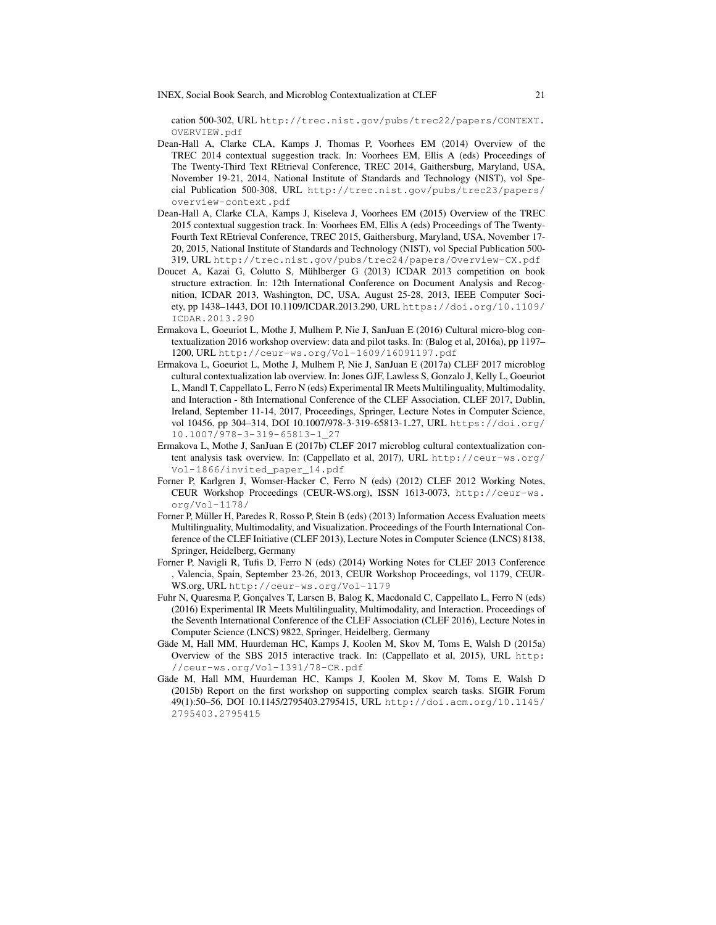cation 500-302, URL http://trec.nist.gov/pubs/trec22/papers/CONTEXT. OVERVIEW.pdf

- Dean-Hall A, Clarke CLA, Kamps J, Thomas P, Voorhees EM (2014) Overview of the TREC 2014 contextual suggestion track. In: Voorhees EM, Ellis A (eds) Proceedings of The Twenty-Third Text REtrieval Conference, TREC 2014, Gaithersburg, Maryland, USA, November 19-21, 2014, National Institute of Standards and Technology (NIST), vol Special Publication 500-308, URL http://trec.nist.gov/pubs/trec23/papers/ overview-context.pdf
- Dean-Hall A, Clarke CLA, Kamps J, Kiseleva J, Voorhees EM (2015) Overview of the TREC 2015 contextual suggestion track. In: Voorhees EM, Ellis A (eds) Proceedings of The Twenty-Fourth Text REtrieval Conference, TREC 2015, Gaithersburg, Maryland, USA, November 17- 20, 2015, National Institute of Standards and Technology (NIST), vol Special Publication 500- 319, URL http://trec.nist.gov/pubs/trec24/papers/Overview-CX.pdf
- Doucet A, Kazai G, Colutto S, Mühlberger G (2013) ICDAR 2013 competition on book structure extraction. In: 12th International Conference on Document Analysis and Recognition, ICDAR 2013, Washington, DC, USA, August 25-28, 2013, IEEE Computer Society, pp 1438–1443, DOI 10.1109/ICDAR.2013.290, URL https://doi.org/10.1109/ ICDAR.2013.290
- Ermakova L, Goeuriot L, Mothe J, Mulhem P, Nie J, SanJuan E (2016) Cultural micro-blog contextualization 2016 workshop overview: data and pilot tasks. In: (Balog et al, 2016a), pp 1197– 1200, URL http://ceur-ws.org/Vol-1609/16091197.pdf
- Ermakova L, Goeuriot L, Mothe J, Mulhem P, Nie J, SanJuan E (2017a) CLEF 2017 microblog cultural contextualization lab overview. In: Jones GJF, Lawless S, Gonzalo J, Kelly L, Goeuriot L, Mandl T, Cappellato L, Ferro N (eds) Experimental IR Meets Multilinguality, Multimodality, and Interaction - 8th International Conference of the CLEF Association, CLEF 2017, Dublin, Ireland, September 11-14, 2017, Proceedings, Springer, Lecture Notes in Computer Science, vol 10456, pp 304–314, DOI 10.1007/978-3-319-65813-1 27, URL https://doi.org/ 10.1007/978-3-319-65813-1\_27
- Ermakova L, Mothe J, SanJuan E (2017b) CLEF 2017 microblog cultural contextualization content analysis task overview. In: (Cappellato et al, 2017), URL http://ceur-ws.org/ Vol-1866/invited\_paper\_14.pdf
- Forner P, Karlgren J, Womser-Hacker C, Ferro N (eds) (2012) CLEF 2012 Working Notes, CEUR Workshop Proceedings (CEUR-WS.org), ISSN 1613-0073, http://ceur-ws. org/Vol-1178/
- Forner P, Muller H, Paredes R, Rosso P, Stein B (eds) (2013) Information Access Evaluation meets ¨ Multilinguality, Multimodality, and Visualization. Proceedings of the Fourth International Conference of the CLEF Initiative (CLEF 2013), Lecture Notes in Computer Science (LNCS) 8138, Springer, Heidelberg, Germany
- Forner P, Navigli R, Tufis D, Ferro N (eds) (2014) Working Notes for CLEF 2013 Conference , Valencia, Spain, September 23-26, 2013, CEUR Workshop Proceedings, vol 1179, CEUR-WS.org, URL http://ceur-ws.org/Vol-1179
- Fuhr N, Quaresma P, Gonçalves T, Larsen B, Balog K, Macdonald C, Cappellato L, Ferro N (eds) (2016) Experimental IR Meets Multilinguality, Multimodality, and Interaction. Proceedings of the Seventh International Conference of the CLEF Association (CLEF 2016), Lecture Notes in Computer Science (LNCS) 9822, Springer, Heidelberg, Germany
- Gäde M, Hall MM, Huurdeman HC, Kamps J, Koolen M, Skov M, Toms E, Walsh D (2015a) Overview of the SBS 2015 interactive track. In: (Cappellato et al, 2015), URL http: //ceur-ws.org/Vol-1391/78-CR.pdf
- Gäde M, Hall MM, Huurdeman HC, Kamps J, Koolen M, Skov M, Toms E, Walsh D (2015b) Report on the first workshop on supporting complex search tasks. SIGIR Forum 49(1):50–56, DOI 10.1145/2795403.2795415, URL http://doi.acm.org/10.1145/ 2795403.2795415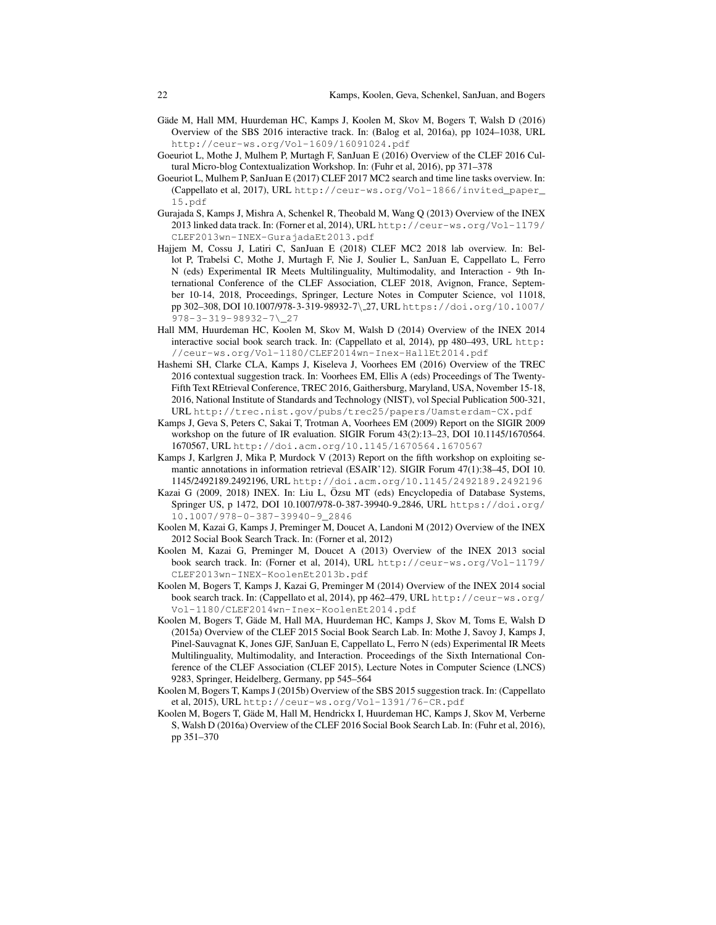- Gäde M, Hall MM, Huurdeman HC, Kamps J, Koolen M, Skov M, Bogers T, Walsh D (2016) Overview of the SBS 2016 interactive track. In: (Balog et al, 2016a), pp 1024–1038, URL http://ceur-ws.org/Vol-1609/16091024.pdf
- Goeuriot L, Mothe J, Mulhem P, Murtagh F, SanJuan E (2016) Overview of the CLEF 2016 Cultural Micro-blog Contextualization Workshop. In: (Fuhr et al, 2016), pp 371–378
- Goeuriot L, Mulhem P, SanJuan E (2017) CLEF 2017 MC2 search and time line tasks overview. In: (Cappellato et al, 2017), URL http://ceur-ws.org/Vol-1866/invited\_paper\_ 15.pdf
- Gurajada S, Kamps J, Mishra A, Schenkel R, Theobald M, Wang Q (2013) Overview of the INEX 2013 linked data track. In: (Forner et al, 2014), URL http://ceur-ws.org/Vol-1179/ CLEF2013wn-INEX-GurajadaEt2013.pdf
- Hajjem M, Cossu J, Latiri C, SanJuan E (2018) CLEF MC2 2018 lab overview. In: Bellot P, Trabelsi C, Mothe J, Murtagh F, Nie J, Soulier L, SanJuan E, Cappellato L, Ferro N (eds) Experimental IR Meets Multilinguality, Multimodality, and Interaction - 9th International Conference of the CLEF Association, CLEF 2018, Avignon, France, September 10-14, 2018, Proceedings, Springer, Lecture Notes in Computer Science, vol 11018, pp 302–308, DOI 10.1007/978-3-319-98932-7\ 27, URL https://doi.org/10.1007/ 978-3-319-98932-7\\_27
- Hall MM, Huurdeman HC, Koolen M, Skov M, Walsh D (2014) Overview of the INEX 2014 interactive social book search track. In: (Cappellato et al, 2014), pp 480–493, URL http: //ceur-ws.org/Vol-1180/CLEF2014wn-Inex-HallEt2014.pdf
- Hashemi SH, Clarke CLA, Kamps J, Kiseleva J, Voorhees EM (2016) Overview of the TREC 2016 contextual suggestion track. In: Voorhees EM, Ellis A (eds) Proceedings of The Twenty-Fifth Text REtrieval Conference, TREC 2016, Gaithersburg, Maryland, USA, November 15-18, 2016, National Institute of Standards and Technology (NIST), vol Special Publication 500-321, URL http://trec.nist.gov/pubs/trec25/papers/Uamsterdam-CX.pdf
- Kamps J, Geva S, Peters C, Sakai T, Trotman A, Voorhees EM (2009) Report on the SIGIR 2009 workshop on the future of IR evaluation. SIGIR Forum 43(2):13–23, DOI 10.1145/1670564. 1670567, URL http://doi.acm.org/10.1145/1670564.1670567
- Kamps J, Karlgren J, Mika P, Murdock V (2013) Report on the fifth workshop on exploiting semantic annotations in information retrieval (ESAIR'12). SIGIR Forum 47(1):38–45, DOI 10. 1145/2492189.2492196, URL http://doi.acm.org/10.1145/2492189.2492196
- Kazai G (2009, 2018) INEX. In: Liu L, Özsu MT (eds) Encyclopedia of Database Systems, Springer US, p 1472, DOI 10.1007/978-0-387-39940-9 2846, URL https://doi.org/ 10.1007/978-0-387-39940-9\_2846
- Koolen M, Kazai G, Kamps J, Preminger M, Doucet A, Landoni M (2012) Overview of the INEX 2012 Social Book Search Track. In: (Forner et al, 2012)
- Koolen M, Kazai G, Preminger M, Doucet A (2013) Overview of the INEX 2013 social book search track. In: (Forner et al, 2014), URL http://ceur-ws.org/Vol-1179/ CLEF2013wn-INEX-KoolenEt2013b.pdf
- Koolen M, Bogers T, Kamps J, Kazai G, Preminger M (2014) Overview of the INEX 2014 social book search track. In: (Cappellato et al, 2014), pp 462–479, URL http://ceur-ws.org/ Vol-1180/CLEF2014wn-Inex-KoolenEt2014.pdf
- Koolen M, Bogers T, Gäde M, Hall MA, Huurdeman HC, Kamps J, Skov M, Toms E, Walsh D (2015a) Overview of the CLEF 2015 Social Book Search Lab. In: Mothe J, Savoy J, Kamps J, Pinel-Sauvagnat K, Jones GJF, SanJuan E, Cappellato L, Ferro N (eds) Experimental IR Meets Multilinguality, Multimodality, and Interaction. Proceedings of the Sixth International Conference of the CLEF Association (CLEF 2015), Lecture Notes in Computer Science (LNCS) 9283, Springer, Heidelberg, Germany, pp 545–564
- Koolen M, Bogers T, Kamps J (2015b) Overview of the SBS 2015 suggestion track. In: (Cappellato et al, 2015), URL http://ceur-ws.org/Vol-1391/76-CR.pdf
- Koolen M, Bogers T, Gäde M, Hall M, Hendrickx I, Huurdeman HC, Kamps J, Skov M, Verberne S, Walsh D (2016a) Overview of the CLEF 2016 Social Book Search Lab. In: (Fuhr et al, 2016), pp 351–370